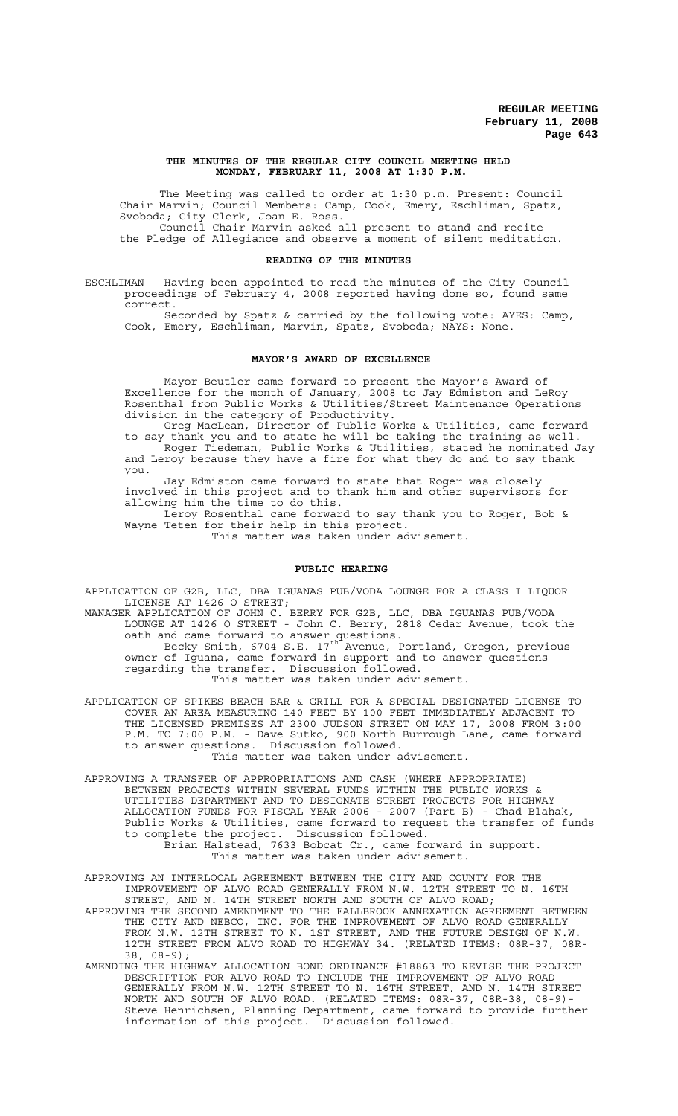#### **THE MINUTES OF THE REGULAR CITY COUNCIL MEETING HELD MONDAY, FEBRUARY 11, 2008 AT 1:30 P.M.**

The Meeting was called to order at 1:30 p.m. Present: Council Chair Marvin; Council Members: Camp, Cook, Emery, Eschliman, Spatz, Svoboda; City Clerk, Joan E. Ross. Council Chair Marvin asked all present to stand and recite the Pledge of Allegiance and observe a moment of silent meditation.

#### **READING OF THE MINUTES**

ESCHLIMAN Having been appointed to read the minutes of the City Council proceedings of February 4, 2008 reported having done so, found same correct.

Seconded by Spatz & carried by the following vote: AYES: Camp, Cook, Emery, Eschliman, Marvin, Spatz, Svoboda; NAYS: None.

# **MAYOR'S AWARD OF EXCELLENCE**

Mayor Beutler came forward to present the Mayor's Award of Excellence for the month of January, 2008 to Jay Edmiston and LeRoy Rosenthal from Public Works & Utilities/Street Maintenance Operations division in the category of Productivity.

Greg MacLean, Director of Public Works & Utilities, came forward to say thank you and to state he will be taking the training as well. Roger Tiedeman, Public Works & Utilities, stated he nominated Jay and Leroy because they have a fire for what they do and to say thank you.

 Jay Edmiston came forward to state that Roger was closely involved in this project and to thank him and other supervisors for allowing him the time to do this.

Leroy Rosenthal came forward to say thank you to Roger, Bob & Wayne Teten for their help in this project.

This matter was taken under advisement.

## **PUBLIC HEARING**

APPLICATION OF G2B, LLC, DBA IGUANAS PUB/VODA LOUNGE FOR A CLASS I LIQUOR LICENSE AT 1426 O STREET;

MANAGER APPLICATION OF JOHN C. BERRY FOR G2B, LLC, DBA IGUANAS PUB/VODA LOUNGE AT 1426 O STREET - John C. Berry, 2818 Cedar Avenue, took the oath and came forward to answer questions.

Becky Smith, 6704 S.E. 17<sup>th</sup> Avenue, Portland, Oregon, previous owner of Iguana, came forward in support and to answer questions regarding the transfer. Discussion followed. This matter was taken under advisement.

APPLICATION OF SPIKES BEACH BAR & GRILL FOR A SPECIAL DESIGNATED LICENSE TO COVER AN AREA MEASURING 140 FEET BY 100 FEET IMMEDIATELY ADJACENT TO THE LICENSED PREMISES AT 2300 JUDSON STREET ON MAY 17, 2008 FROM 3:00 P.M. TO 7:00 P.M. - Dave Sutko, 900 North Burrough Lane, came forward to answer questions. Discussion followed. This matter was taken under advisement.

APPROVING A TRANSFER OF APPROPRIATIONS AND CASH (WHERE APPROPRIATE) BETWEEN PROJECTS WITHIN SEVERAL FUNDS WITHIN THE PUBLIC WORKS & UTILITIES DEPARTMENT AND TO DESIGNATE STREET PROJECTS FOR HIGHWAY ALLOCATION FUNDS FOR FISCAL YEAR 2006 - 2007 (Part B) - Chad Blahak, Public Works & Utilities, came forward to request the transfer of funds to complete the project. Discussion followed. Brian Halstead, 7633 Bobcat Cr., came forward in support.

This matter was taken under advisement.

APPROVING AN INTERLOCAL AGREEMENT BETWEEN THE CITY AND COUNTY FOR THE IMPROVEMENT OF ALVO ROAD GENERALLY FROM N.W. 12TH STREET TO N. 16TH STREET, AND N. 14TH STREET NORTH AND SOUTH OF ALVO ROAD;

APPROVING THE SECOND AMENDMENT TO THE FALLBROOK ANNEXATION AGREEMENT BETWEEN THE CITY AND NEBCO, INC. FOR THE IMPROVEMENT OF ALVO ROAD GENERALLY FROM N.W. 12TH STREET TO N. 1ST STREET, AND THE FUTURE DESIGN OF N.W. 12TH STREET FROM ALVO ROAD TO HIGHWAY 34. (RELATED ITEMS: 08R-37, 08R-38, 08-9);

AMENDING THE HIGHWAY ALLOCATION BOND ORDINANCE #18863 TO REVISE THE PROJECT DESCRIPTION FOR ALVO ROAD TO INCLUDE THE IMPROVEMENT OF ALVO ROAD GENERALLY FROM N.W. 12TH STREET TO N. 16TH STREET, AND N. 14TH STREET NORTH AND SOUTH OF ALVO ROAD. (RELATED ITEMS: 08R-37, 08R-38, 08-9)- Steve Henrichsen, Planning Department, came forward to provide further information of this project. Discussion followed.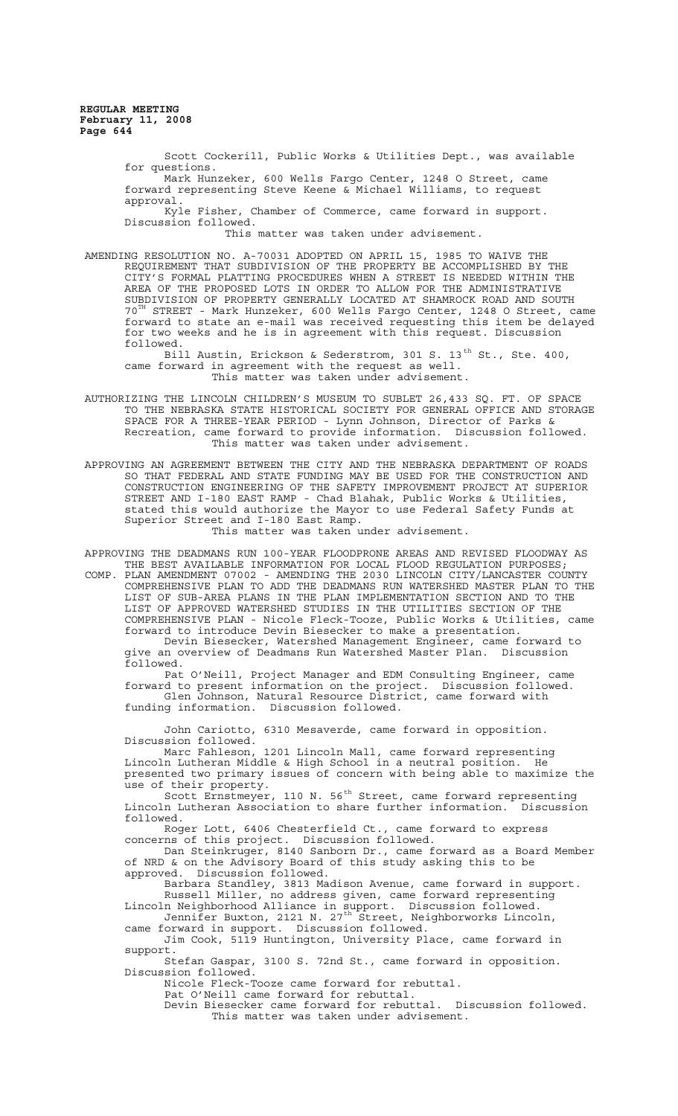> Scott Cockerill, Public Works & Utilities Dept., was available for questions. Mark Hunzeker, 600 Wells Fargo Center, 1248 O Street, came forward representing Steve Keene & Michael Williams, to request approval. Kyle Fisher, Chamber of Commerce, came forward in support. Discussion followed. This matter was taken under advisement.

AMENDING RESOLUTION NO. A-70031 ADOPTED ON APRIL 15, 1985 TO WAIVE THE REQUIREMENT THAT SUBDIVISION OF THE PROPERTY BE ACCOMPLISHED BY THE CITY'S FORMAL PLATTING PROCEDURES WHEN A STREET IS NEEDED WITHIN THE AREA OF THE PROPOSED LOTS IN ORDER TO ALLOW FOR THE ADMINISTRATIVE SUBDIVISION OF PROPERTY GENERALLY LOCATED AT SHAMROCK ROAD AND SOUTH 70TH STREET - Mark Hunzeker, 600 Wells Fargo Center, 1248 O Street, came forward to state an e-mail was received requesting this item be delayed for two weeks and he is in agreement with this request. Discussion followed.

Bill Austin, Erickson & Sederstrom, 301 S. 13<sup>th</sup> St., Ste. 400, came forward in agreement with the request as well. This matter was taken under advisement.

AUTHORIZING THE LINCOLN CHILDREN'S MUSEUM TO SUBLET 26,433 SQ. FT. OF SPACE TO THE NEBRASKA STATE HISTORICAL SOCIETY FOR GENERAL OFFICE AND STORAGE SPACE FOR A THREE-YEAR PERIOD - Lynn Johnson, Director of Parks & Recreation, came forward to provide information. Discussion followed. This matter was taken under advisement.

APPROVING AN AGREEMENT BETWEEN THE CITY AND THE NEBRASKA DEPARTMENT OF ROADS SO THAT FEDERAL AND STATE FUNDING MAY BE USED FOR THE CONSTRUCTION AND CONSTRUCTION ENGINEERING OF THE SAFETY IMPROVEMENT PROJECT AT SUPERIOR STREET AND I-180 EAST RAMP - Chad Blahak, Public Works & Utilities, stated this would authorize the Mayor to use Federal Safety Funds at Superior Street and I-180 East Ramp.

This matter was taken under advisement.

APPROVING THE DEADMANS RUN 100-YEAR FLOODPRONE AREAS AND REVISED FLOODWAY AS THE BEST AVAILABLE INFORMATION FOR LOCAL FLOOD REGULATION PURPOSES;

COMP. PLAN AMENDMENT 07002 - AMENDING THE 2030 LINCOLN CITY/LANCASTER COUNTY COMPREHENSIVE PLAN TO ADD THE DEADMANS RUN WATERSHED MASTER PLAN TO THE LIST OF SUB-AREA PLANS IN THE PLAN IMPLEMENTATION SECTION AND TO THE LIST OF APPROVED WATERSHED STUDIES IN THE UTILITIES SECTION OF THE COMPREHENSIVE PLAN - Nicole Fleck-Tooze, Public Works & Utilities, came forward to introduce Devin Biesecker to make a presentation. Devin Biesecker, Watershed Management Engineer, came forward to give an overview of Deadmans Run Watershed Master Plan. Discussion

followed. Pat O'Neill, Project Manager and EDM Consulting Engineer, came forward to present information on the project. Discussion followed.

Glen Johnson, Natural Resource District, came forward with funding information. Discussion followed.

John Cariotto, 6310 Mesaverde, came forward in opposition. Discussion followed.

Marc Fahleson, 1201 Lincoln Mall, came forward representing Lincoln Lutheran Middle & High School in a neutral position. He presented two primary issues of concern with being able to maximize the use of their property.

Scott Ernstmeyer, 110 N. 56<sup>th</sup> Street, came forward representing Lincoln Lutheran Association to share further information. Discussion followed.

Roger Lott, 6406 Chesterfield Ct., came forward to express concerns of this project. Discussion followed.

Dan Steinkruger, 8140 Sanborn Dr., came forward as a Board Member of NRD & on the Advisory Board of this study asking this to be approved. Discussion followed.

Barbara Standley, 3813 Madison Avenue, came forward in support. Russell Miller, no address given, came forward representing Lincoln Neighborhood Alliance in support. Discussion followed.

Jennifer Buxton, 2121 N. 27<sup>th S</sup>treet, Neighborworks Lincoln, came forward in support. Discussion followed.

Jim Cook, 5119 Huntington, University Place, came forward in support.

Stefan Gaspar, 3100 S. 72nd St., came forward in opposition. Discussion followed.

Nicole Fleck-Tooze came forward for rebuttal. Pat O'Neill came forward for rebuttal.

Devin Biesecker came forward for rebuttal. Discussion followed. This matter was taken under advisement.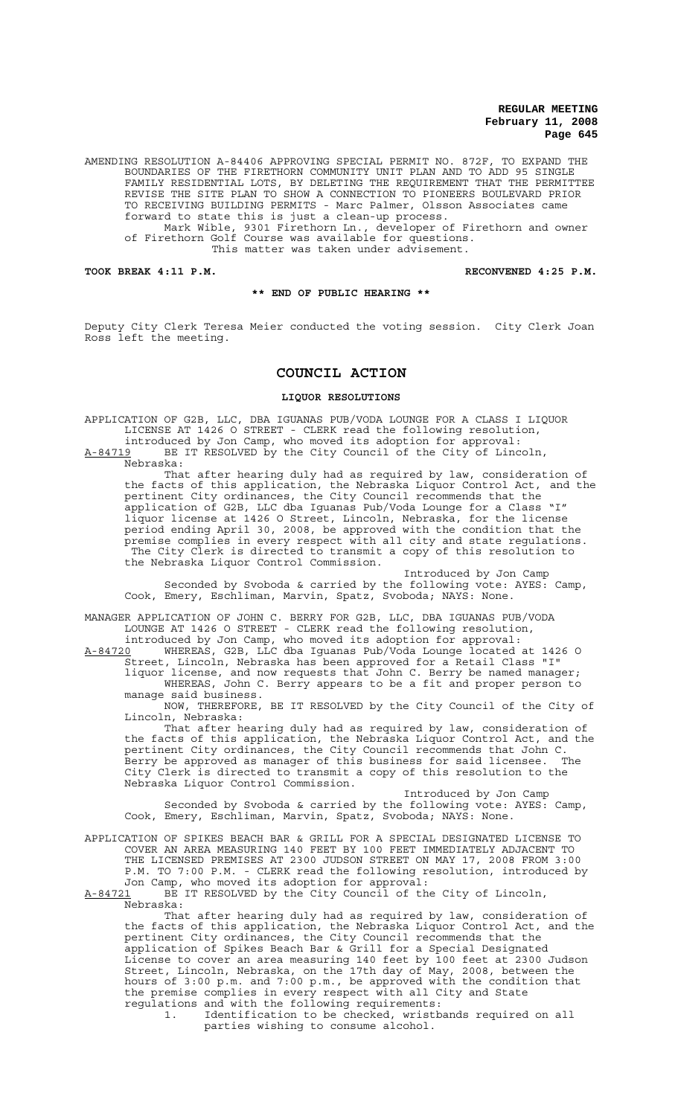AMENDING RESOLUTION A-84406 APPROVING SPECIAL PERMIT NO. 872F, TO EXPAND THE BOUNDARIES OF THE FIRETHORN COMMUNITY UNIT PLAN AND TO ADD 95 SINGLE FAMILY RESIDENTIAL LOTS, BY DELETING THE REQUIREMENT THAT THE PERMITTEE REVISE THE SITE PLAN TO SHOW A CONNECTION TO PIONEERS BOULEVARD PRIOR TO RECEIVING BUILDING PERMITS - Marc Palmer, Olsson Associates came forward to state this is just a clean-up process. Mark Wible, 9301 Firethorn Ln., developer of Firethorn and owner of Firethorn Golf Course was available for questions. This matter was taken under advisement.

**TOOK BREAK 4:11 P.M. RECONVENED 4:25 P.M.**

#### **\*\* END OF PUBLIC HEARING \*\***

Deputy City Clerk Teresa Meier conducted the voting session. City Clerk Joan Ross left the meeting.

# **COUNCIL ACTION**

## **LIQUOR RESOLUTIONS**

APPLICATION OF G2B, LLC, DBA IGUANAS PUB/VODA LOUNGE FOR A CLASS I LIQUOR LICENSE AT 1426 O STREET - CLERK read the following resolution,

introduced by Jon Camp, who moved its adoption for approval: A-84719 BE IT RESOLVED by the City Council of the City of Lincoln,  $A-84719$  BE<br>Nebraska:

That after hearing duly had as required by law, consideration of the facts of this application, the Nebraska Liquor Control Act, and the pertinent City ordinances, the City Council recommends that the application of G2B, LLC dba Iguanas Pub/Voda Lounge for a Class "I" liquor license at 1426 O Street, Lincoln, Nebraska, for the license period ending April 30, 2008, be approved with the condition that the premise complies in every respect with all city and state regulations. The City Clerk is directed to transmit a copy of this resolution to the Nebraska Liquor Control Commission.

Introduced by Jon Camp Seconded by Svoboda & carried by the following vote: AYES: Camp, Cook, Emery, Eschliman, Marvin, Spatz, Svoboda; NAYS: None.

MANAGER APPLICATION OF JOHN C. BERRY FOR G2B, LLC, DBA IGUANAS PUB/VODA LOUNGE AT 1426 O STREET - CLERK read the following resolution,

introduced by Jon Camp, who moved its adoption for approval: A-84720 WHEREAS, G2B, LLC dba Iguanas Pub/Voda Lounge located at 1426 O Street, Lincoln, Nebraska has been approved for a Retail Class "I" liquor license, and now requests that John C. Berry be named manager; WHEREAS, John C. Berry appears to be a fit and proper person to

manage said business.

NOW, THEREFORE, BE IT RESOLVED by the City Council of the City of Lincoln, Nebraska:

That after hearing duly had as required by law, consideration of the facts of this application, the Nebraska Liquor Control Act, and the pertinent City ordinances, the City Council recommends that John C. Berry be approved as manager of this business for said licensee. The City Clerk is directed to transmit a copy of this resolution to the Nebraska Liquor Control Commission.

Introduced by Jon Camp Seconded by Svoboda & carried by the following vote: AYES: Camp, Cook, Emery, Eschliman, Marvin, Spatz, Svoboda; NAYS: None.

APPLICATION OF SPIKES BEACH BAR & GRILL FOR A SPECIAL DESIGNATED LICENSE TO COVER AN AREA MEASURING 140 FEET BY 100 FEET IMMEDIATELY ADJACENT TO THE LICENSED PREMISES AT 2300 JUDSON STREET ON MAY 17, 2008 FROM 3:00 P.M. TO 7:00 P.M. - CLERK read the following resolution, introduced by Jon Camp, who moved its adoption for approval:

A-84721 BE IT RESOLVED by the City Council of the City of Lincoln, Nebraska:

That after hearing duly had as required by law, consideration of the facts of this application, the Nebraska Liquor Control Act, and the pertinent City ordinances, the City Council recommends that the application of Spikes Beach Bar & Grill for a Special Designated License to cover an area measuring 140 feet by 100 feet at 2300 Judson Street, Lincoln, Nebraska, on the 17th day of May, 2008, between the hours of 3:00 p.m. and 7:00 p.m., be approved with the condition that the premise complies in every respect with all City and State regulations and with the following requirements:

1. Identification to be checked, wristbands required on all parties wishing to consume alcohol.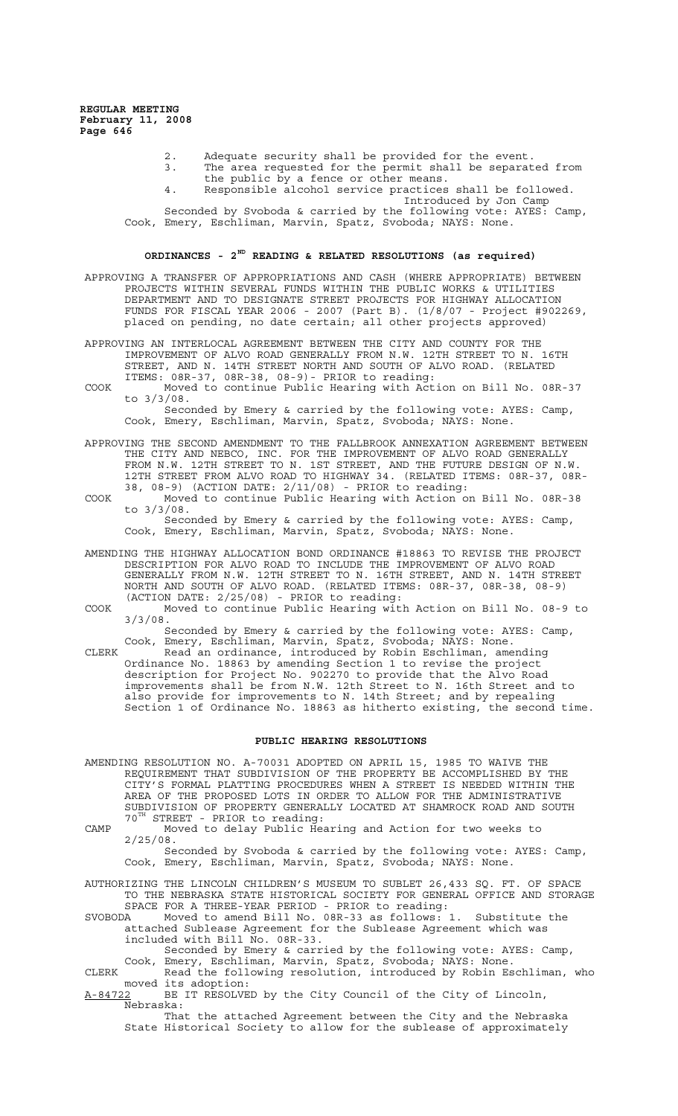- 2. Adequate security shall be provided for the event.<br>3. The area requested for the permit shall be separat
- The area requested for the permit shall be separated from the public by a fence or other means.
- 4. Responsible alcohol service practices shall be followed.
	- Introduced by Jon Camp

Seconded by Svoboda & carried by the following vote: AYES: Camp, Cook, Emery, Eschliman, Marvin, Spatz, Svoboda; NAYS: None.

# **ORDINANCES - 2ND READING & RELATED RESOLUTIONS (as required)**

APPROVING A TRANSFER OF APPROPRIATIONS AND CASH (WHERE APPROPRIATE) BETWEEN PROJECTS WITHIN SEVERAL FUNDS WITHIN THE PUBLIC WORKS & UTILITIES DEPARTMENT AND TO DESIGNATE STREET PROJECTS FOR HIGHWAY ALLOCATION FUNDS FOR FISCAL YEAR 2006 - 2007 (Part B). (1/8/07 - Project #902269, placed on pending, no date certain; all other projects approved)

#### APPROVING AN INTERLOCAL AGREEMENT BETWEEN THE CITY AND COUNTY FOR THE IMPROVEMENT OF ALVO ROAD GENERALLY FROM N.W. 12TH STREET TO N. 16TH STREET, AND N. 14TH STREET NORTH AND SOUTH OF ALVO ROAD. (RELATED ITEMS: 08R-37, 08R-38, 08-9)- PRIOR to reading:

COOK Moved to continue Public Hearing with Action on Bill No. 08R-37 to 3/3/08.

Seconded by Emery & carried by the following vote: AYES: Camp, Cook, Emery, Eschliman, Marvin, Spatz, Svoboda; NAYS: None.

- APPROVING THE SECOND AMENDMENT TO THE FALLBROOK ANNEXATION AGREEMENT BETWEEN THE CITY AND NEBCO, INC. FOR THE IMPROVEMENT OF ALVO ROAD GENERALLY FROM N.W. 12TH STREET TO N. 1ST STREET, AND THE FUTURE DESIGN OF N.W. 12TH STREET FROM ALVO ROAD TO HIGHWAY 34. (RELATED ITEMS: 08R-37, 08R-38, 08-9) (ACTION DATE: 2/11/08) - PRIOR to reading:
- COOK Moved to continue Public Hearing with Action on Bill No. 08R-38 to 3/3/08.

Seconded by Emery & carried by the following vote: AYES: Camp, Cook, Emery, Eschliman, Marvin, Spatz, Svoboda; NAYS: None.

- AMENDING THE HIGHWAY ALLOCATION BOND ORDINANCE #18863 TO REVISE THE PROJECT DESCRIPTION FOR ALVO ROAD TO INCLUDE THE IMPROVEMENT OF ALVO ROAD GENERALLY FROM N.W. 12TH STREET TO N. 16TH STREET, AND N. 14TH STREET NORTH AND SOUTH OF ALVO ROAD. (RELATED ITEMS: 08R-37, 08R-38, 08-9) (ACTION DATE: 2/25/08) - PRIOR to reading:
- COOK Moved to continue Public Hearing with Action on Bill No. 08-9 to 3/3/08.

Seconded by Emery & carried by the following vote: AYES: Camp, Cook, Emery, Eschliman, Marvin, Spatz, Svoboda; NAYS: None.

CLERK Read an ordinance, introduced by Robin Eschliman, amending Ordinance No. 18863 by amending Section 1 to revise the project description for Project No. 902270 to provide that the Alvo Road improvements shall be from N.W. 12th Street to N. 16th Street and to also provide for improvements to N. 14th Street; and by repealing Section 1 of Ordinance No. 18863 as hitherto existing, the second time.

# **PUBLIC HEARING RESOLUTIONS**

AMENDING RESOLUTION NO. A-70031 ADOPTED ON APRIL 15, 1985 TO WAIVE THE REQUIREMENT THAT SUBDIVISION OF THE PROPERTY BE ACCOMPLISHED BY THE CITY'S FORMAL PLATTING PROCEDURES WHEN A STREET IS NEEDED WITHIN THE AREA OF THE PROPOSED LOTS IN ORDER TO ALLOW FOR THE ADMINISTRATIVE SUBDIVISION OF PROPERTY GENERALLY LOCATED AT SHAMROCK ROAD AND SOUTH 70<sup>TH</sup> STREET - PRIOR to reading: STREET - PRIOR to reading:

CAMP Moved to delay Public Hearing and Action for two weeks to 2/25/08.

Seconded by Svoboda & carried by the following vote: AYES: Camp, Cook, Emery, Eschliman, Marvin, Spatz, Svoboda; NAYS: None.

AUTHORIZING THE LINCOLN CHILDREN'S MUSEUM TO SUBLET 26,433 SQ. FT. OF SPACE TO THE NEBRASKA STATE HISTORICAL SOCIETY FOR GENERAL OFFICE AND STORAGE SPACE FOR A THREE-YEAR PERIOD - PRIOR to reading:

SVOBODA Moved to amend Bill No. 08R-33 as follows: 1. Substitute the attached Sublease Agreement for the Sublease Agreement which was included with Bill No. 08R-33.

Seconded by Emery & carried by the following vote: AYES: Camp, Cook, Emery, Eschliman, Marvin, Spatz, Svoboda; NAYS: None.

CLERK Read the following resolution, introduced by Robin Eschliman, who moved its adoption:

A-84722 BE IT RESOLVED by the City Council of the City of Lincoln, Nebraska:

That the attached Agreement between the City and the Nebraska State Historical Society to allow for the sublease of approximately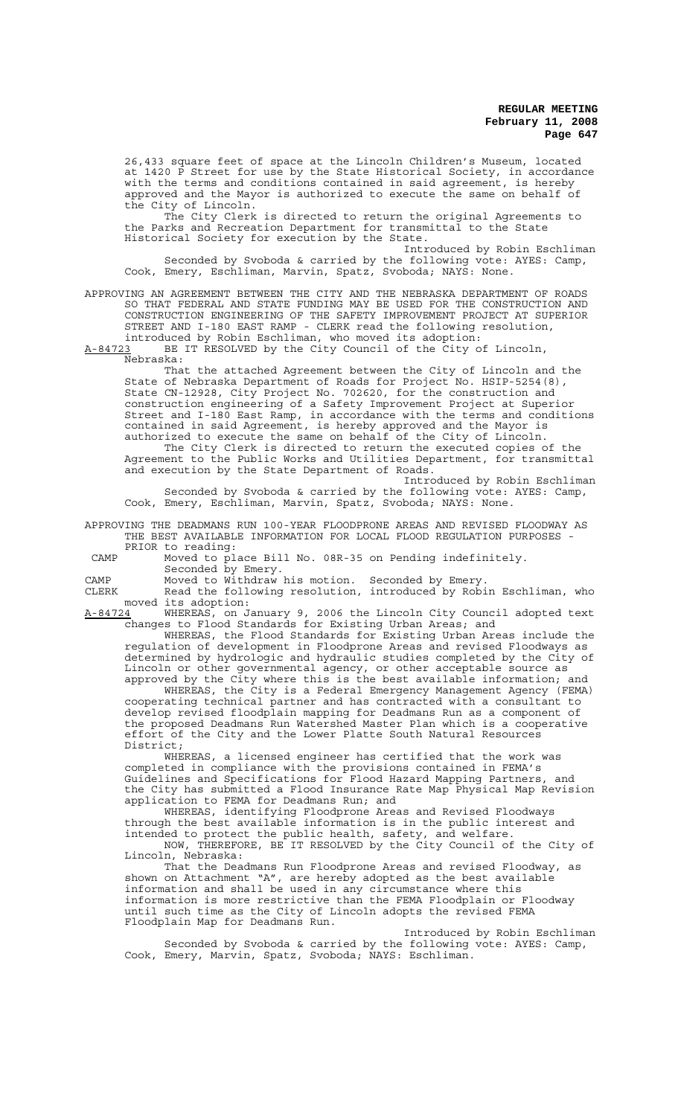26,433 square feet of space at the Lincoln Children's Museum, located at 1420 P Street for use by the State Historical Society, in accordance with the terms and conditions contained in said agreement, is hereby approved and the Mayor is authorized to execute the same on behalf of the City of Lincoln.

The City Clerk is directed to return the original Agreements to the Parks and Recreation Department for transmittal to the State Historical Society for execution by the State.

Introduced by Robin Eschliman Seconded by Svoboda & carried by the following vote: AYES: Camp, Cook, Emery, Eschliman, Marvin, Spatz, Svoboda; NAYS: None.

# APPROVING AN AGREEMENT BETWEEN THE CITY AND THE NEBRASKA DEPARTMENT OF ROADS SO THAT FEDERAL AND STATE FUNDING MAY BE USED FOR THE CONSTRUCTION AND CONSTRUCTION ENGINEERING OF THE SAFETY IMPROVEMENT PROJECT AT SUPERIOR STREET AND I-180 EAST RAMP - CLERK read the following resolution,

introduced by Robin Eschliman, who moved its adoption:<br>A-84723 BE IT RESOLVED by the City Council of the City o BE IT RESOLVED by the City Council of the City of Lincoln, Nebraska:

That the attached Agreement between the City of Lincoln and the State of Nebraska Department of Roads for Project No. HSIP-5254(8), State CN-12928, City Project No. 702620, for the construction and construction engineering of a Safety Improvement Project at Superior Street and I-180 East Ramp, in accordance with the terms and conditions contained in said Agreement, is hereby approved and the Mayor is authorized to execute the same on behalf of the City of Lincoln. The City Clerk is directed to return the executed copies of the

Agreement to the Public Works and Utilities Department, for transmittal and execution by the State Department of Roads. Introduced by Robin Eschliman

Seconded by Svoboda & carried by the following vote: AYES: Camp, Cook, Emery, Eschliman, Marvin, Spatz, Svoboda; NAYS: None.

APPROVING THE DEADMANS RUN 100-YEAR FLOODPRONE AREAS AND REVISED FLOODWAY AS THE BEST AVAILABLE INFORMATION FOR LOCAL FLOOD REGULATION PURPOSES - PRIOR to reading:

 CAMP Moved to place Bill No. 08R-35 on Pending indefinitely. Seconded by Emery.

CAMP Moved to Withdraw his motion. Seconded by Emery.

CLERK Read the following resolution, introduced by Robin Eschliman, who moved its adoption:<br>A-84724 WHEREAS, on J

WHEREAS, on January 9, 2006 the Lincoln City Council adopted text changes to Flood Standards for Existing Urban Areas; and

WHEREAS, the Flood Standards for Existing Urban Areas include the regulation of development in Floodprone Areas and revised Floodways as determined by hydrologic and hydraulic studies completed by the City of Lincoln or other governmental agency, or other acceptable source as approved by the City where this is the best available information; and

WHEREAS, the City is a Federal Emergency Management Agency (FEMA) cooperating technical partner and has contracted with a consultant to develop revised floodplain mapping for Deadmans Run as a component of the proposed Deadmans Run Watershed Master Plan which is a cooperative effort of the City and the Lower Platte South Natural Resources District;

WHEREAS, a licensed engineer has certified that the work was completed in compliance with the provisions contained in FEMA's Guidelines and Specifications for Flood Hazard Mapping Partners, and the City has submitted a Flood Insurance Rate Map Physical Map Revision application to FEMA for Deadmans Run; and

WHEREAS, identifying Floodprone Areas and Revised Floodways through the best available information is in the public interest and intended to protect the public health, safety, and welfare.

NOW, THEREFORE, BE IT RESOLVED by the City Council of the City of Lincoln, Nebraska:

That the Deadmans Run Floodprone Areas and revised Floodway, as shown on Attachment "A", are hereby adopted as the best available information and shall be used in any circumstance where this information is more restrictive than the FEMA Floodplain or Floodway until such time as the City of Lincoln adopts the revised FEMA Floodplain Map for Deadmans Run.

Introduced by Robin Eschliman Seconded by Svoboda & carried by the following vote: AYES: Camp, Cook, Emery, Marvin, Spatz, Svoboda; NAYS: Eschliman.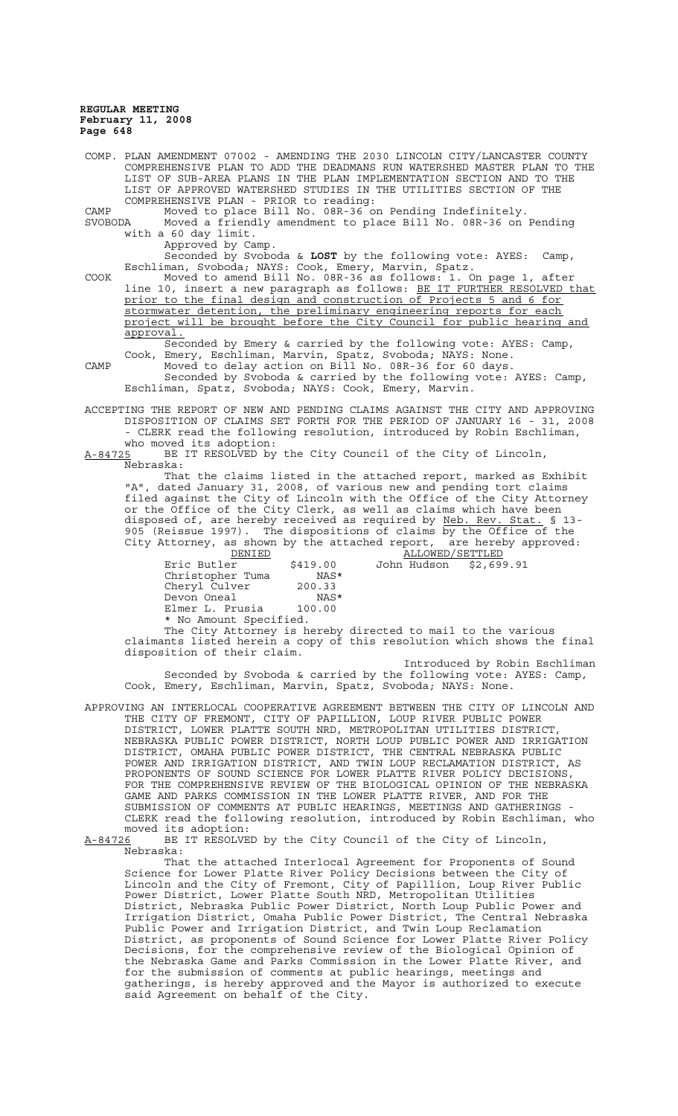| LIST OF SUB-AREA PLANS IN THE PLAN IMPLEMENTATION SECTION AND TO THE<br>LIST OF APPROVED WATERSHED STUDIES IN THE UTILITIES SECTION OF THE<br>COMPREHENSIVE PLAN - PRIOR to reading:<br>Moved to place Bill No. 08R-36 on Pending Indefinitely.<br>CAMP<br>Moved a friendly amendment to place Bill No. 08R-36 on Pending<br>SVOBODA<br>with a 60 day limit.<br>Approved by Camp.<br>Seconded by Svoboda & LOST by the following vote: AYES:<br>Camp,<br>Eschliman, Svoboda; NAYS: Cook, Emery, Marvin, Spatz.<br>Moved to amend Bill No. 08R-36 as follows: 1. On page 1, after<br>COOK<br>line 10, insert a new paragraph as follows: BE IT FURTHER RESOLVED that<br>prior to the final design and construction of Projects 5 and 6 for<br>stormwater detention, the preliminary engineering reports for each<br>project will be brought before the City Council for public hearing and<br>approval.<br>Seconded by Emery & carried by the following vote: AYES: Camp,<br>Cook, Emery, Eschliman, Marvin, Spatz, Svoboda; NAYS: None.<br>Moved to delay action on Bill No. 08R-36 for 60 days.<br>CAMP<br>Seconded by Svoboda & carried by the following vote: AYES: Camp,<br>Eschliman, Spatz, Svoboda; NAYS: Cook, Emery, Marvin.<br>ACCEPTING THE REPORT OF NEW AND PENDING CLAIMS AGAINST THE CITY AND APPROVING<br>DISPOSITION OF CLAIMS SET FORTH FOR THE PERIOD OF JANUARY 16 - 31, 2008<br>- CLERK read the following resolution, introduced by Robin Eschliman,<br>who moved its adoption:<br>BE IT RESOLVED by the City Council of the City of Lincoln,<br>A-84725<br>Nebraska:<br>That the claims listed in the attached report, marked as Exhibit<br>"A", dated January 31, 2008, of various new and pending tort claims<br>filed against the City of Lincoln with the Office of the City Attorney<br>or the Office of the City Clerk, as well as claims which have been<br>disposed of, are hereby received as required by Neb. Rev. Stat. § 13-<br>905 (Reissue 1997). The dispositions of claims by the Office of the<br>City Attorney, as shown by the attached report, are hereby approved:<br>ALLOWED/SETTLED<br>DENIED<br>John Hudson<br>Eric Butler<br>\$419.00<br>\$2,699.91<br>Christopher Tuma<br>NAS*<br>Cheryl Culver 200.33<br>Devon Oneal<br>NAS*<br>Elmer L. Prusia 100.00<br>* No Amount Specified.<br>The City Attorney is hereby directed to mail to the various<br>claimants listed herein a copy of this resolution which shows the final<br>disposition of their claim.<br>Introduced by Robin Eschliman<br>Seconded by Svoboda & carried by the following vote: AYES: Camp,<br>Cook, Emery, Eschliman, Marvin, Spatz, Svoboda; NAYS: None.<br>APPROVING AN INTERLOCAL COOPERATIVE AGREEMENT BETWEEN THE CITY OF LINCOLN AND<br>THE CITY OF FREMONT, CITY OF PAPILLION, LOUP RIVER PUBLIC POWER<br>DISTRICT, LOWER PLATTE SOUTH NRD, METROPOLITAN UTILITIES DISTRICT,<br>NEBRASKA PUBLIC POWER DISTRICT, NORTH LOUP PUBLIC POWER AND IRRIGATION<br>DISTRICT, OMAHA PUBLIC POWER DISTRICT, THE CENTRAL NEBRASKA PUBLIC<br>POWER AND IRRIGATION DISTRICT, AND TWIN LOUP RECLAMATION DISTRICT, AS<br>PROPONENTS OF SOUND SCIENCE FOR LOWER PLATTE RIVER POLICY DECISIONS,<br>FOR THE COMPREHENSIVE REVIEW OF THE BIOLOGICAL OPINION OF THE NEBRASKA<br>GAME AND PARKS COMMISSION IN THE LOWER PLATTE RIVER, AND FOR THE<br>SUBMISSION OF COMMENTS AT PUBLIC HEARINGS, MEETINGS AND GATHERINGS -<br>CLERK read the following resolution, introduced by Robin Eschliman, who<br>moved its adoption:<br>BE IT RESOLVED by the City Council of the City of Lincoln,<br>A-84726<br>Nebraska:<br>That the attached Interlocal Agreement for Proponents of Sound<br>Science for Lower Platte River Policy Decisions between the City of<br>Lincoln and the City of Fremont, City of Papillion, Loup River Public<br>Power District, Lower Platte South NRD, Metropolitan Utilities | COMP. PLAN AMENDMENT 07002 - AMENDING THE 2030 LINCOLN CITY/LANCASTER COUNTY |
|--------------------------------------------------------------------------------------------------------------------------------------------------------------------------------------------------------------------------------------------------------------------------------------------------------------------------------------------------------------------------------------------------------------------------------------------------------------------------------------------------------------------------------------------------------------------------------------------------------------------------------------------------------------------------------------------------------------------------------------------------------------------------------------------------------------------------------------------------------------------------------------------------------------------------------------------------------------------------------------------------------------------------------------------------------------------------------------------------------------------------------------------------------------------------------------------------------------------------------------------------------------------------------------------------------------------------------------------------------------------------------------------------------------------------------------------------------------------------------------------------------------------------------------------------------------------------------------------------------------------------------------------------------------------------------------------------------------------------------------------------------------------------------------------------------------------------------------------------------------------------------------------------------------------------------------------------------------------------------------------------------------------------------------------------------------------------------------------------------------------------------------------------------------------------------------------------------------------------------------------------------------------------------------------------------------------------------------------------------------------------------------------------------------------------------------------------------------------------------------------------------------------------------------------------------------------------------------------------------------------------------------------------------------------------------------------------------------------------------------------------------------------------------------------------------------------------------------------------------------------------------------------------------------------------------------------------------------------------------------------------------------------------------------------------------------------------------------------------------------------------------------------------------------------------------------------------------------------------------------------------------------------------------------------------------------------------------------------------------------------------------------------------------------------------------------------------------------------------------------------------------------------------------------------------------------------------------------------------------------------------------------------------------------------------------------------------------------------------------------------------------------------------------------------------------------------------------------------------------------------------------------------------------------|------------------------------------------------------------------------------|
|                                                                                                                                                                                                                                                                                                                                                                                                                                                                                                                                                                                                                                                                                                                                                                                                                                                                                                                                                                                                                                                                                                                                                                                                                                                                                                                                                                                                                                                                                                                                                                                                                                                                                                                                                                                                                                                                                                                                                                                                                                                                                                                                                                                                                                                                                                                                                                                                                                                                                                                                                                                                                                                                                                                                                                                                                                                                                                                                                                                                                                                                                                                                                                                                                                                                                                                                                                                                                                                                                                                                                                                                                                                                                                                                                                                                                                                                                                              | COMPREHENSIVE PLAN TO ADD THE DEADMANS RUN WATERSHED MASTER PLAN TO THE      |
|                                                                                                                                                                                                                                                                                                                                                                                                                                                                                                                                                                                                                                                                                                                                                                                                                                                                                                                                                                                                                                                                                                                                                                                                                                                                                                                                                                                                                                                                                                                                                                                                                                                                                                                                                                                                                                                                                                                                                                                                                                                                                                                                                                                                                                                                                                                                                                                                                                                                                                                                                                                                                                                                                                                                                                                                                                                                                                                                                                                                                                                                                                                                                                                                                                                                                                                                                                                                                                                                                                                                                                                                                                                                                                                                                                                                                                                                                                              |                                                                              |
|                                                                                                                                                                                                                                                                                                                                                                                                                                                                                                                                                                                                                                                                                                                                                                                                                                                                                                                                                                                                                                                                                                                                                                                                                                                                                                                                                                                                                                                                                                                                                                                                                                                                                                                                                                                                                                                                                                                                                                                                                                                                                                                                                                                                                                                                                                                                                                                                                                                                                                                                                                                                                                                                                                                                                                                                                                                                                                                                                                                                                                                                                                                                                                                                                                                                                                                                                                                                                                                                                                                                                                                                                                                                                                                                                                                                                                                                                                              |                                                                              |
|                                                                                                                                                                                                                                                                                                                                                                                                                                                                                                                                                                                                                                                                                                                                                                                                                                                                                                                                                                                                                                                                                                                                                                                                                                                                                                                                                                                                                                                                                                                                                                                                                                                                                                                                                                                                                                                                                                                                                                                                                                                                                                                                                                                                                                                                                                                                                                                                                                                                                                                                                                                                                                                                                                                                                                                                                                                                                                                                                                                                                                                                                                                                                                                                                                                                                                                                                                                                                                                                                                                                                                                                                                                                                                                                                                                                                                                                                                              |                                                                              |
|                                                                                                                                                                                                                                                                                                                                                                                                                                                                                                                                                                                                                                                                                                                                                                                                                                                                                                                                                                                                                                                                                                                                                                                                                                                                                                                                                                                                                                                                                                                                                                                                                                                                                                                                                                                                                                                                                                                                                                                                                                                                                                                                                                                                                                                                                                                                                                                                                                                                                                                                                                                                                                                                                                                                                                                                                                                                                                                                                                                                                                                                                                                                                                                                                                                                                                                                                                                                                                                                                                                                                                                                                                                                                                                                                                                                                                                                                                              |                                                                              |
|                                                                                                                                                                                                                                                                                                                                                                                                                                                                                                                                                                                                                                                                                                                                                                                                                                                                                                                                                                                                                                                                                                                                                                                                                                                                                                                                                                                                                                                                                                                                                                                                                                                                                                                                                                                                                                                                                                                                                                                                                                                                                                                                                                                                                                                                                                                                                                                                                                                                                                                                                                                                                                                                                                                                                                                                                                                                                                                                                                                                                                                                                                                                                                                                                                                                                                                                                                                                                                                                                                                                                                                                                                                                                                                                                                                                                                                                                                              |                                                                              |
|                                                                                                                                                                                                                                                                                                                                                                                                                                                                                                                                                                                                                                                                                                                                                                                                                                                                                                                                                                                                                                                                                                                                                                                                                                                                                                                                                                                                                                                                                                                                                                                                                                                                                                                                                                                                                                                                                                                                                                                                                                                                                                                                                                                                                                                                                                                                                                                                                                                                                                                                                                                                                                                                                                                                                                                                                                                                                                                                                                                                                                                                                                                                                                                                                                                                                                                                                                                                                                                                                                                                                                                                                                                                                                                                                                                                                                                                                                              |                                                                              |
|                                                                                                                                                                                                                                                                                                                                                                                                                                                                                                                                                                                                                                                                                                                                                                                                                                                                                                                                                                                                                                                                                                                                                                                                                                                                                                                                                                                                                                                                                                                                                                                                                                                                                                                                                                                                                                                                                                                                                                                                                                                                                                                                                                                                                                                                                                                                                                                                                                                                                                                                                                                                                                                                                                                                                                                                                                                                                                                                                                                                                                                                                                                                                                                                                                                                                                                                                                                                                                                                                                                                                                                                                                                                                                                                                                                                                                                                                                              |                                                                              |
|                                                                                                                                                                                                                                                                                                                                                                                                                                                                                                                                                                                                                                                                                                                                                                                                                                                                                                                                                                                                                                                                                                                                                                                                                                                                                                                                                                                                                                                                                                                                                                                                                                                                                                                                                                                                                                                                                                                                                                                                                                                                                                                                                                                                                                                                                                                                                                                                                                                                                                                                                                                                                                                                                                                                                                                                                                                                                                                                                                                                                                                                                                                                                                                                                                                                                                                                                                                                                                                                                                                                                                                                                                                                                                                                                                                                                                                                                                              |                                                                              |
|                                                                                                                                                                                                                                                                                                                                                                                                                                                                                                                                                                                                                                                                                                                                                                                                                                                                                                                                                                                                                                                                                                                                                                                                                                                                                                                                                                                                                                                                                                                                                                                                                                                                                                                                                                                                                                                                                                                                                                                                                                                                                                                                                                                                                                                                                                                                                                                                                                                                                                                                                                                                                                                                                                                                                                                                                                                                                                                                                                                                                                                                                                                                                                                                                                                                                                                                                                                                                                                                                                                                                                                                                                                                                                                                                                                                                                                                                                              |                                                                              |
|                                                                                                                                                                                                                                                                                                                                                                                                                                                                                                                                                                                                                                                                                                                                                                                                                                                                                                                                                                                                                                                                                                                                                                                                                                                                                                                                                                                                                                                                                                                                                                                                                                                                                                                                                                                                                                                                                                                                                                                                                                                                                                                                                                                                                                                                                                                                                                                                                                                                                                                                                                                                                                                                                                                                                                                                                                                                                                                                                                                                                                                                                                                                                                                                                                                                                                                                                                                                                                                                                                                                                                                                                                                                                                                                                                                                                                                                                                              |                                                                              |
|                                                                                                                                                                                                                                                                                                                                                                                                                                                                                                                                                                                                                                                                                                                                                                                                                                                                                                                                                                                                                                                                                                                                                                                                                                                                                                                                                                                                                                                                                                                                                                                                                                                                                                                                                                                                                                                                                                                                                                                                                                                                                                                                                                                                                                                                                                                                                                                                                                                                                                                                                                                                                                                                                                                                                                                                                                                                                                                                                                                                                                                                                                                                                                                                                                                                                                                                                                                                                                                                                                                                                                                                                                                                                                                                                                                                                                                                                                              |                                                                              |
|                                                                                                                                                                                                                                                                                                                                                                                                                                                                                                                                                                                                                                                                                                                                                                                                                                                                                                                                                                                                                                                                                                                                                                                                                                                                                                                                                                                                                                                                                                                                                                                                                                                                                                                                                                                                                                                                                                                                                                                                                                                                                                                                                                                                                                                                                                                                                                                                                                                                                                                                                                                                                                                                                                                                                                                                                                                                                                                                                                                                                                                                                                                                                                                                                                                                                                                                                                                                                                                                                                                                                                                                                                                                                                                                                                                                                                                                                                              |                                                                              |
|                                                                                                                                                                                                                                                                                                                                                                                                                                                                                                                                                                                                                                                                                                                                                                                                                                                                                                                                                                                                                                                                                                                                                                                                                                                                                                                                                                                                                                                                                                                                                                                                                                                                                                                                                                                                                                                                                                                                                                                                                                                                                                                                                                                                                                                                                                                                                                                                                                                                                                                                                                                                                                                                                                                                                                                                                                                                                                                                                                                                                                                                                                                                                                                                                                                                                                                                                                                                                                                                                                                                                                                                                                                                                                                                                                                                                                                                                                              |                                                                              |
|                                                                                                                                                                                                                                                                                                                                                                                                                                                                                                                                                                                                                                                                                                                                                                                                                                                                                                                                                                                                                                                                                                                                                                                                                                                                                                                                                                                                                                                                                                                                                                                                                                                                                                                                                                                                                                                                                                                                                                                                                                                                                                                                                                                                                                                                                                                                                                                                                                                                                                                                                                                                                                                                                                                                                                                                                                                                                                                                                                                                                                                                                                                                                                                                                                                                                                                                                                                                                                                                                                                                                                                                                                                                                                                                                                                                                                                                                                              |                                                                              |
|                                                                                                                                                                                                                                                                                                                                                                                                                                                                                                                                                                                                                                                                                                                                                                                                                                                                                                                                                                                                                                                                                                                                                                                                                                                                                                                                                                                                                                                                                                                                                                                                                                                                                                                                                                                                                                                                                                                                                                                                                                                                                                                                                                                                                                                                                                                                                                                                                                                                                                                                                                                                                                                                                                                                                                                                                                                                                                                                                                                                                                                                                                                                                                                                                                                                                                                                                                                                                                                                                                                                                                                                                                                                                                                                                                                                                                                                                                              |                                                                              |
|                                                                                                                                                                                                                                                                                                                                                                                                                                                                                                                                                                                                                                                                                                                                                                                                                                                                                                                                                                                                                                                                                                                                                                                                                                                                                                                                                                                                                                                                                                                                                                                                                                                                                                                                                                                                                                                                                                                                                                                                                                                                                                                                                                                                                                                                                                                                                                                                                                                                                                                                                                                                                                                                                                                                                                                                                                                                                                                                                                                                                                                                                                                                                                                                                                                                                                                                                                                                                                                                                                                                                                                                                                                                                                                                                                                                                                                                                                              |                                                                              |
|                                                                                                                                                                                                                                                                                                                                                                                                                                                                                                                                                                                                                                                                                                                                                                                                                                                                                                                                                                                                                                                                                                                                                                                                                                                                                                                                                                                                                                                                                                                                                                                                                                                                                                                                                                                                                                                                                                                                                                                                                                                                                                                                                                                                                                                                                                                                                                                                                                                                                                                                                                                                                                                                                                                                                                                                                                                                                                                                                                                                                                                                                                                                                                                                                                                                                                                                                                                                                                                                                                                                                                                                                                                                                                                                                                                                                                                                                                              |                                                                              |
|                                                                                                                                                                                                                                                                                                                                                                                                                                                                                                                                                                                                                                                                                                                                                                                                                                                                                                                                                                                                                                                                                                                                                                                                                                                                                                                                                                                                                                                                                                                                                                                                                                                                                                                                                                                                                                                                                                                                                                                                                                                                                                                                                                                                                                                                                                                                                                                                                                                                                                                                                                                                                                                                                                                                                                                                                                                                                                                                                                                                                                                                                                                                                                                                                                                                                                                                                                                                                                                                                                                                                                                                                                                                                                                                                                                                                                                                                                              |                                                                              |
|                                                                                                                                                                                                                                                                                                                                                                                                                                                                                                                                                                                                                                                                                                                                                                                                                                                                                                                                                                                                                                                                                                                                                                                                                                                                                                                                                                                                                                                                                                                                                                                                                                                                                                                                                                                                                                                                                                                                                                                                                                                                                                                                                                                                                                                                                                                                                                                                                                                                                                                                                                                                                                                                                                                                                                                                                                                                                                                                                                                                                                                                                                                                                                                                                                                                                                                                                                                                                                                                                                                                                                                                                                                                                                                                                                                                                                                                                                              |                                                                              |
|                                                                                                                                                                                                                                                                                                                                                                                                                                                                                                                                                                                                                                                                                                                                                                                                                                                                                                                                                                                                                                                                                                                                                                                                                                                                                                                                                                                                                                                                                                                                                                                                                                                                                                                                                                                                                                                                                                                                                                                                                                                                                                                                                                                                                                                                                                                                                                                                                                                                                                                                                                                                                                                                                                                                                                                                                                                                                                                                                                                                                                                                                                                                                                                                                                                                                                                                                                                                                                                                                                                                                                                                                                                                                                                                                                                                                                                                                                              |                                                                              |
|                                                                                                                                                                                                                                                                                                                                                                                                                                                                                                                                                                                                                                                                                                                                                                                                                                                                                                                                                                                                                                                                                                                                                                                                                                                                                                                                                                                                                                                                                                                                                                                                                                                                                                                                                                                                                                                                                                                                                                                                                                                                                                                                                                                                                                                                                                                                                                                                                                                                                                                                                                                                                                                                                                                                                                                                                                                                                                                                                                                                                                                                                                                                                                                                                                                                                                                                                                                                                                                                                                                                                                                                                                                                                                                                                                                                                                                                                                              |                                                                              |
|                                                                                                                                                                                                                                                                                                                                                                                                                                                                                                                                                                                                                                                                                                                                                                                                                                                                                                                                                                                                                                                                                                                                                                                                                                                                                                                                                                                                                                                                                                                                                                                                                                                                                                                                                                                                                                                                                                                                                                                                                                                                                                                                                                                                                                                                                                                                                                                                                                                                                                                                                                                                                                                                                                                                                                                                                                                                                                                                                                                                                                                                                                                                                                                                                                                                                                                                                                                                                                                                                                                                                                                                                                                                                                                                                                                                                                                                                                              |                                                                              |
|                                                                                                                                                                                                                                                                                                                                                                                                                                                                                                                                                                                                                                                                                                                                                                                                                                                                                                                                                                                                                                                                                                                                                                                                                                                                                                                                                                                                                                                                                                                                                                                                                                                                                                                                                                                                                                                                                                                                                                                                                                                                                                                                                                                                                                                                                                                                                                                                                                                                                                                                                                                                                                                                                                                                                                                                                                                                                                                                                                                                                                                                                                                                                                                                                                                                                                                                                                                                                                                                                                                                                                                                                                                                                                                                                                                                                                                                                                              |                                                                              |
|                                                                                                                                                                                                                                                                                                                                                                                                                                                                                                                                                                                                                                                                                                                                                                                                                                                                                                                                                                                                                                                                                                                                                                                                                                                                                                                                                                                                                                                                                                                                                                                                                                                                                                                                                                                                                                                                                                                                                                                                                                                                                                                                                                                                                                                                                                                                                                                                                                                                                                                                                                                                                                                                                                                                                                                                                                                                                                                                                                                                                                                                                                                                                                                                                                                                                                                                                                                                                                                                                                                                                                                                                                                                                                                                                                                                                                                                                                              |                                                                              |
|                                                                                                                                                                                                                                                                                                                                                                                                                                                                                                                                                                                                                                                                                                                                                                                                                                                                                                                                                                                                                                                                                                                                                                                                                                                                                                                                                                                                                                                                                                                                                                                                                                                                                                                                                                                                                                                                                                                                                                                                                                                                                                                                                                                                                                                                                                                                                                                                                                                                                                                                                                                                                                                                                                                                                                                                                                                                                                                                                                                                                                                                                                                                                                                                                                                                                                                                                                                                                                                                                                                                                                                                                                                                                                                                                                                                                                                                                                              |                                                                              |
|                                                                                                                                                                                                                                                                                                                                                                                                                                                                                                                                                                                                                                                                                                                                                                                                                                                                                                                                                                                                                                                                                                                                                                                                                                                                                                                                                                                                                                                                                                                                                                                                                                                                                                                                                                                                                                                                                                                                                                                                                                                                                                                                                                                                                                                                                                                                                                                                                                                                                                                                                                                                                                                                                                                                                                                                                                                                                                                                                                                                                                                                                                                                                                                                                                                                                                                                                                                                                                                                                                                                                                                                                                                                                                                                                                                                                                                                                                              |                                                                              |
|                                                                                                                                                                                                                                                                                                                                                                                                                                                                                                                                                                                                                                                                                                                                                                                                                                                                                                                                                                                                                                                                                                                                                                                                                                                                                                                                                                                                                                                                                                                                                                                                                                                                                                                                                                                                                                                                                                                                                                                                                                                                                                                                                                                                                                                                                                                                                                                                                                                                                                                                                                                                                                                                                                                                                                                                                                                                                                                                                                                                                                                                                                                                                                                                                                                                                                                                                                                                                                                                                                                                                                                                                                                                                                                                                                                                                                                                                                              |                                                                              |
|                                                                                                                                                                                                                                                                                                                                                                                                                                                                                                                                                                                                                                                                                                                                                                                                                                                                                                                                                                                                                                                                                                                                                                                                                                                                                                                                                                                                                                                                                                                                                                                                                                                                                                                                                                                                                                                                                                                                                                                                                                                                                                                                                                                                                                                                                                                                                                                                                                                                                                                                                                                                                                                                                                                                                                                                                                                                                                                                                                                                                                                                                                                                                                                                                                                                                                                                                                                                                                                                                                                                                                                                                                                                                                                                                                                                                                                                                                              |                                                                              |
|                                                                                                                                                                                                                                                                                                                                                                                                                                                                                                                                                                                                                                                                                                                                                                                                                                                                                                                                                                                                                                                                                                                                                                                                                                                                                                                                                                                                                                                                                                                                                                                                                                                                                                                                                                                                                                                                                                                                                                                                                                                                                                                                                                                                                                                                                                                                                                                                                                                                                                                                                                                                                                                                                                                                                                                                                                                                                                                                                                                                                                                                                                                                                                                                                                                                                                                                                                                                                                                                                                                                                                                                                                                                                                                                                                                                                                                                                                              |                                                                              |
|                                                                                                                                                                                                                                                                                                                                                                                                                                                                                                                                                                                                                                                                                                                                                                                                                                                                                                                                                                                                                                                                                                                                                                                                                                                                                                                                                                                                                                                                                                                                                                                                                                                                                                                                                                                                                                                                                                                                                                                                                                                                                                                                                                                                                                                                                                                                                                                                                                                                                                                                                                                                                                                                                                                                                                                                                                                                                                                                                                                                                                                                                                                                                                                                                                                                                                                                                                                                                                                                                                                                                                                                                                                                                                                                                                                                                                                                                                              |                                                                              |
|                                                                                                                                                                                                                                                                                                                                                                                                                                                                                                                                                                                                                                                                                                                                                                                                                                                                                                                                                                                                                                                                                                                                                                                                                                                                                                                                                                                                                                                                                                                                                                                                                                                                                                                                                                                                                                                                                                                                                                                                                                                                                                                                                                                                                                                                                                                                                                                                                                                                                                                                                                                                                                                                                                                                                                                                                                                                                                                                                                                                                                                                                                                                                                                                                                                                                                                                                                                                                                                                                                                                                                                                                                                                                                                                                                                                                                                                                                              |                                                                              |
|                                                                                                                                                                                                                                                                                                                                                                                                                                                                                                                                                                                                                                                                                                                                                                                                                                                                                                                                                                                                                                                                                                                                                                                                                                                                                                                                                                                                                                                                                                                                                                                                                                                                                                                                                                                                                                                                                                                                                                                                                                                                                                                                                                                                                                                                                                                                                                                                                                                                                                                                                                                                                                                                                                                                                                                                                                                                                                                                                                                                                                                                                                                                                                                                                                                                                                                                                                                                                                                                                                                                                                                                                                                                                                                                                                                                                                                                                                              |                                                                              |
|                                                                                                                                                                                                                                                                                                                                                                                                                                                                                                                                                                                                                                                                                                                                                                                                                                                                                                                                                                                                                                                                                                                                                                                                                                                                                                                                                                                                                                                                                                                                                                                                                                                                                                                                                                                                                                                                                                                                                                                                                                                                                                                                                                                                                                                                                                                                                                                                                                                                                                                                                                                                                                                                                                                                                                                                                                                                                                                                                                                                                                                                                                                                                                                                                                                                                                                                                                                                                                                                                                                                                                                                                                                                                                                                                                                                                                                                                                              |                                                                              |
|                                                                                                                                                                                                                                                                                                                                                                                                                                                                                                                                                                                                                                                                                                                                                                                                                                                                                                                                                                                                                                                                                                                                                                                                                                                                                                                                                                                                                                                                                                                                                                                                                                                                                                                                                                                                                                                                                                                                                                                                                                                                                                                                                                                                                                                                                                                                                                                                                                                                                                                                                                                                                                                                                                                                                                                                                                                                                                                                                                                                                                                                                                                                                                                                                                                                                                                                                                                                                                                                                                                                                                                                                                                                                                                                                                                                                                                                                                              |                                                                              |
|                                                                                                                                                                                                                                                                                                                                                                                                                                                                                                                                                                                                                                                                                                                                                                                                                                                                                                                                                                                                                                                                                                                                                                                                                                                                                                                                                                                                                                                                                                                                                                                                                                                                                                                                                                                                                                                                                                                                                                                                                                                                                                                                                                                                                                                                                                                                                                                                                                                                                                                                                                                                                                                                                                                                                                                                                                                                                                                                                                                                                                                                                                                                                                                                                                                                                                                                                                                                                                                                                                                                                                                                                                                                                                                                                                                                                                                                                                              |                                                                              |
|                                                                                                                                                                                                                                                                                                                                                                                                                                                                                                                                                                                                                                                                                                                                                                                                                                                                                                                                                                                                                                                                                                                                                                                                                                                                                                                                                                                                                                                                                                                                                                                                                                                                                                                                                                                                                                                                                                                                                                                                                                                                                                                                                                                                                                                                                                                                                                                                                                                                                                                                                                                                                                                                                                                                                                                                                                                                                                                                                                                                                                                                                                                                                                                                                                                                                                                                                                                                                                                                                                                                                                                                                                                                                                                                                                                                                                                                                                              |                                                                              |
|                                                                                                                                                                                                                                                                                                                                                                                                                                                                                                                                                                                                                                                                                                                                                                                                                                                                                                                                                                                                                                                                                                                                                                                                                                                                                                                                                                                                                                                                                                                                                                                                                                                                                                                                                                                                                                                                                                                                                                                                                                                                                                                                                                                                                                                                                                                                                                                                                                                                                                                                                                                                                                                                                                                                                                                                                                                                                                                                                                                                                                                                                                                                                                                                                                                                                                                                                                                                                                                                                                                                                                                                                                                                                                                                                                                                                                                                                                              |                                                                              |
|                                                                                                                                                                                                                                                                                                                                                                                                                                                                                                                                                                                                                                                                                                                                                                                                                                                                                                                                                                                                                                                                                                                                                                                                                                                                                                                                                                                                                                                                                                                                                                                                                                                                                                                                                                                                                                                                                                                                                                                                                                                                                                                                                                                                                                                                                                                                                                                                                                                                                                                                                                                                                                                                                                                                                                                                                                                                                                                                                                                                                                                                                                                                                                                                                                                                                                                                                                                                                                                                                                                                                                                                                                                                                                                                                                                                                                                                                                              |                                                                              |
|                                                                                                                                                                                                                                                                                                                                                                                                                                                                                                                                                                                                                                                                                                                                                                                                                                                                                                                                                                                                                                                                                                                                                                                                                                                                                                                                                                                                                                                                                                                                                                                                                                                                                                                                                                                                                                                                                                                                                                                                                                                                                                                                                                                                                                                                                                                                                                                                                                                                                                                                                                                                                                                                                                                                                                                                                                                                                                                                                                                                                                                                                                                                                                                                                                                                                                                                                                                                                                                                                                                                                                                                                                                                                                                                                                                                                                                                                                              |                                                                              |
|                                                                                                                                                                                                                                                                                                                                                                                                                                                                                                                                                                                                                                                                                                                                                                                                                                                                                                                                                                                                                                                                                                                                                                                                                                                                                                                                                                                                                                                                                                                                                                                                                                                                                                                                                                                                                                                                                                                                                                                                                                                                                                                                                                                                                                                                                                                                                                                                                                                                                                                                                                                                                                                                                                                                                                                                                                                                                                                                                                                                                                                                                                                                                                                                                                                                                                                                                                                                                                                                                                                                                                                                                                                                                                                                                                                                                                                                                                              |                                                                              |
|                                                                                                                                                                                                                                                                                                                                                                                                                                                                                                                                                                                                                                                                                                                                                                                                                                                                                                                                                                                                                                                                                                                                                                                                                                                                                                                                                                                                                                                                                                                                                                                                                                                                                                                                                                                                                                                                                                                                                                                                                                                                                                                                                                                                                                                                                                                                                                                                                                                                                                                                                                                                                                                                                                                                                                                                                                                                                                                                                                                                                                                                                                                                                                                                                                                                                                                                                                                                                                                                                                                                                                                                                                                                                                                                                                                                                                                                                                              |                                                                              |
|                                                                                                                                                                                                                                                                                                                                                                                                                                                                                                                                                                                                                                                                                                                                                                                                                                                                                                                                                                                                                                                                                                                                                                                                                                                                                                                                                                                                                                                                                                                                                                                                                                                                                                                                                                                                                                                                                                                                                                                                                                                                                                                                                                                                                                                                                                                                                                                                                                                                                                                                                                                                                                                                                                                                                                                                                                                                                                                                                                                                                                                                                                                                                                                                                                                                                                                                                                                                                                                                                                                                                                                                                                                                                                                                                                                                                                                                                                              |                                                                              |
|                                                                                                                                                                                                                                                                                                                                                                                                                                                                                                                                                                                                                                                                                                                                                                                                                                                                                                                                                                                                                                                                                                                                                                                                                                                                                                                                                                                                                                                                                                                                                                                                                                                                                                                                                                                                                                                                                                                                                                                                                                                                                                                                                                                                                                                                                                                                                                                                                                                                                                                                                                                                                                                                                                                                                                                                                                                                                                                                                                                                                                                                                                                                                                                                                                                                                                                                                                                                                                                                                                                                                                                                                                                                                                                                                                                                                                                                                                              |                                                                              |
|                                                                                                                                                                                                                                                                                                                                                                                                                                                                                                                                                                                                                                                                                                                                                                                                                                                                                                                                                                                                                                                                                                                                                                                                                                                                                                                                                                                                                                                                                                                                                                                                                                                                                                                                                                                                                                                                                                                                                                                                                                                                                                                                                                                                                                                                                                                                                                                                                                                                                                                                                                                                                                                                                                                                                                                                                                                                                                                                                                                                                                                                                                                                                                                                                                                                                                                                                                                                                                                                                                                                                                                                                                                                                                                                                                                                                                                                                                              |                                                                              |
|                                                                                                                                                                                                                                                                                                                                                                                                                                                                                                                                                                                                                                                                                                                                                                                                                                                                                                                                                                                                                                                                                                                                                                                                                                                                                                                                                                                                                                                                                                                                                                                                                                                                                                                                                                                                                                                                                                                                                                                                                                                                                                                                                                                                                                                                                                                                                                                                                                                                                                                                                                                                                                                                                                                                                                                                                                                                                                                                                                                                                                                                                                                                                                                                                                                                                                                                                                                                                                                                                                                                                                                                                                                                                                                                                                                                                                                                                                              |                                                                              |
|                                                                                                                                                                                                                                                                                                                                                                                                                                                                                                                                                                                                                                                                                                                                                                                                                                                                                                                                                                                                                                                                                                                                                                                                                                                                                                                                                                                                                                                                                                                                                                                                                                                                                                                                                                                                                                                                                                                                                                                                                                                                                                                                                                                                                                                                                                                                                                                                                                                                                                                                                                                                                                                                                                                                                                                                                                                                                                                                                                                                                                                                                                                                                                                                                                                                                                                                                                                                                                                                                                                                                                                                                                                                                                                                                                                                                                                                                                              |                                                                              |
|                                                                                                                                                                                                                                                                                                                                                                                                                                                                                                                                                                                                                                                                                                                                                                                                                                                                                                                                                                                                                                                                                                                                                                                                                                                                                                                                                                                                                                                                                                                                                                                                                                                                                                                                                                                                                                                                                                                                                                                                                                                                                                                                                                                                                                                                                                                                                                                                                                                                                                                                                                                                                                                                                                                                                                                                                                                                                                                                                                                                                                                                                                                                                                                                                                                                                                                                                                                                                                                                                                                                                                                                                                                                                                                                                                                                                                                                                                              |                                                                              |
|                                                                                                                                                                                                                                                                                                                                                                                                                                                                                                                                                                                                                                                                                                                                                                                                                                                                                                                                                                                                                                                                                                                                                                                                                                                                                                                                                                                                                                                                                                                                                                                                                                                                                                                                                                                                                                                                                                                                                                                                                                                                                                                                                                                                                                                                                                                                                                                                                                                                                                                                                                                                                                                                                                                                                                                                                                                                                                                                                                                                                                                                                                                                                                                                                                                                                                                                                                                                                                                                                                                                                                                                                                                                                                                                                                                                                                                                                                              |                                                                              |
|                                                                                                                                                                                                                                                                                                                                                                                                                                                                                                                                                                                                                                                                                                                                                                                                                                                                                                                                                                                                                                                                                                                                                                                                                                                                                                                                                                                                                                                                                                                                                                                                                                                                                                                                                                                                                                                                                                                                                                                                                                                                                                                                                                                                                                                                                                                                                                                                                                                                                                                                                                                                                                                                                                                                                                                                                                                                                                                                                                                                                                                                                                                                                                                                                                                                                                                                                                                                                                                                                                                                                                                                                                                                                                                                                                                                                                                                                                              |                                                                              |
|                                                                                                                                                                                                                                                                                                                                                                                                                                                                                                                                                                                                                                                                                                                                                                                                                                                                                                                                                                                                                                                                                                                                                                                                                                                                                                                                                                                                                                                                                                                                                                                                                                                                                                                                                                                                                                                                                                                                                                                                                                                                                                                                                                                                                                                                                                                                                                                                                                                                                                                                                                                                                                                                                                                                                                                                                                                                                                                                                                                                                                                                                                                                                                                                                                                                                                                                                                                                                                                                                                                                                                                                                                                                                                                                                                                                                                                                                                              |                                                                              |
|                                                                                                                                                                                                                                                                                                                                                                                                                                                                                                                                                                                                                                                                                                                                                                                                                                                                                                                                                                                                                                                                                                                                                                                                                                                                                                                                                                                                                                                                                                                                                                                                                                                                                                                                                                                                                                                                                                                                                                                                                                                                                                                                                                                                                                                                                                                                                                                                                                                                                                                                                                                                                                                                                                                                                                                                                                                                                                                                                                                                                                                                                                                                                                                                                                                                                                                                                                                                                                                                                                                                                                                                                                                                                                                                                                                                                                                                                                              |                                                                              |
|                                                                                                                                                                                                                                                                                                                                                                                                                                                                                                                                                                                                                                                                                                                                                                                                                                                                                                                                                                                                                                                                                                                                                                                                                                                                                                                                                                                                                                                                                                                                                                                                                                                                                                                                                                                                                                                                                                                                                                                                                                                                                                                                                                                                                                                                                                                                                                                                                                                                                                                                                                                                                                                                                                                                                                                                                                                                                                                                                                                                                                                                                                                                                                                                                                                                                                                                                                                                                                                                                                                                                                                                                                                                                                                                                                                                                                                                                                              |                                                                              |
|                                                                                                                                                                                                                                                                                                                                                                                                                                                                                                                                                                                                                                                                                                                                                                                                                                                                                                                                                                                                                                                                                                                                                                                                                                                                                                                                                                                                                                                                                                                                                                                                                                                                                                                                                                                                                                                                                                                                                                                                                                                                                                                                                                                                                                                                                                                                                                                                                                                                                                                                                                                                                                                                                                                                                                                                                                                                                                                                                                                                                                                                                                                                                                                                                                                                                                                                                                                                                                                                                                                                                                                                                                                                                                                                                                                                                                                                                                              |                                                                              |
|                                                                                                                                                                                                                                                                                                                                                                                                                                                                                                                                                                                                                                                                                                                                                                                                                                                                                                                                                                                                                                                                                                                                                                                                                                                                                                                                                                                                                                                                                                                                                                                                                                                                                                                                                                                                                                                                                                                                                                                                                                                                                                                                                                                                                                                                                                                                                                                                                                                                                                                                                                                                                                                                                                                                                                                                                                                                                                                                                                                                                                                                                                                                                                                                                                                                                                                                                                                                                                                                                                                                                                                                                                                                                                                                                                                                                                                                                                              |                                                                              |
|                                                                                                                                                                                                                                                                                                                                                                                                                                                                                                                                                                                                                                                                                                                                                                                                                                                                                                                                                                                                                                                                                                                                                                                                                                                                                                                                                                                                                                                                                                                                                                                                                                                                                                                                                                                                                                                                                                                                                                                                                                                                                                                                                                                                                                                                                                                                                                                                                                                                                                                                                                                                                                                                                                                                                                                                                                                                                                                                                                                                                                                                                                                                                                                                                                                                                                                                                                                                                                                                                                                                                                                                                                                                                                                                                                                                                                                                                                              |                                                                              |
|                                                                                                                                                                                                                                                                                                                                                                                                                                                                                                                                                                                                                                                                                                                                                                                                                                                                                                                                                                                                                                                                                                                                                                                                                                                                                                                                                                                                                                                                                                                                                                                                                                                                                                                                                                                                                                                                                                                                                                                                                                                                                                                                                                                                                                                                                                                                                                                                                                                                                                                                                                                                                                                                                                                                                                                                                                                                                                                                                                                                                                                                                                                                                                                                                                                                                                                                                                                                                                                                                                                                                                                                                                                                                                                                                                                                                                                                                                              |                                                                              |
|                                                                                                                                                                                                                                                                                                                                                                                                                                                                                                                                                                                                                                                                                                                                                                                                                                                                                                                                                                                                                                                                                                                                                                                                                                                                                                                                                                                                                                                                                                                                                                                                                                                                                                                                                                                                                                                                                                                                                                                                                                                                                                                                                                                                                                                                                                                                                                                                                                                                                                                                                                                                                                                                                                                                                                                                                                                                                                                                                                                                                                                                                                                                                                                                                                                                                                                                                                                                                                                                                                                                                                                                                                                                                                                                                                                                                                                                                                              |                                                                              |
|                                                                                                                                                                                                                                                                                                                                                                                                                                                                                                                                                                                                                                                                                                                                                                                                                                                                                                                                                                                                                                                                                                                                                                                                                                                                                                                                                                                                                                                                                                                                                                                                                                                                                                                                                                                                                                                                                                                                                                                                                                                                                                                                                                                                                                                                                                                                                                                                                                                                                                                                                                                                                                                                                                                                                                                                                                                                                                                                                                                                                                                                                                                                                                                                                                                                                                                                                                                                                                                                                                                                                                                                                                                                                                                                                                                                                                                                                                              |                                                                              |
|                                                                                                                                                                                                                                                                                                                                                                                                                                                                                                                                                                                                                                                                                                                                                                                                                                                                                                                                                                                                                                                                                                                                                                                                                                                                                                                                                                                                                                                                                                                                                                                                                                                                                                                                                                                                                                                                                                                                                                                                                                                                                                                                                                                                                                                                                                                                                                                                                                                                                                                                                                                                                                                                                                                                                                                                                                                                                                                                                                                                                                                                                                                                                                                                                                                                                                                                                                                                                                                                                                                                                                                                                                                                                                                                                                                                                                                                                                              |                                                                              |
|                                                                                                                                                                                                                                                                                                                                                                                                                                                                                                                                                                                                                                                                                                                                                                                                                                                                                                                                                                                                                                                                                                                                                                                                                                                                                                                                                                                                                                                                                                                                                                                                                                                                                                                                                                                                                                                                                                                                                                                                                                                                                                                                                                                                                                                                                                                                                                                                                                                                                                                                                                                                                                                                                                                                                                                                                                                                                                                                                                                                                                                                                                                                                                                                                                                                                                                                                                                                                                                                                                                                                                                                                                                                                                                                                                                                                                                                                                              | District, Nebraska Public Power District, North Loup Public Power and        |

Irrigation District, Omaha Public Power District, The Central Nebraska Public Power and Irrigation District, and Twin Loup Reclamation District, as proponents of Sound Science for Lower Platte River Policy Decisions, for the comprehensive review of the Biological Opinion of the Nebraska Game and Parks Commission in the Lower Platte River, and for the submission of comments at public hearings, meetings and gatherings, is hereby approved and the Mayor is authorized to execute said Agreement on behalf of the City.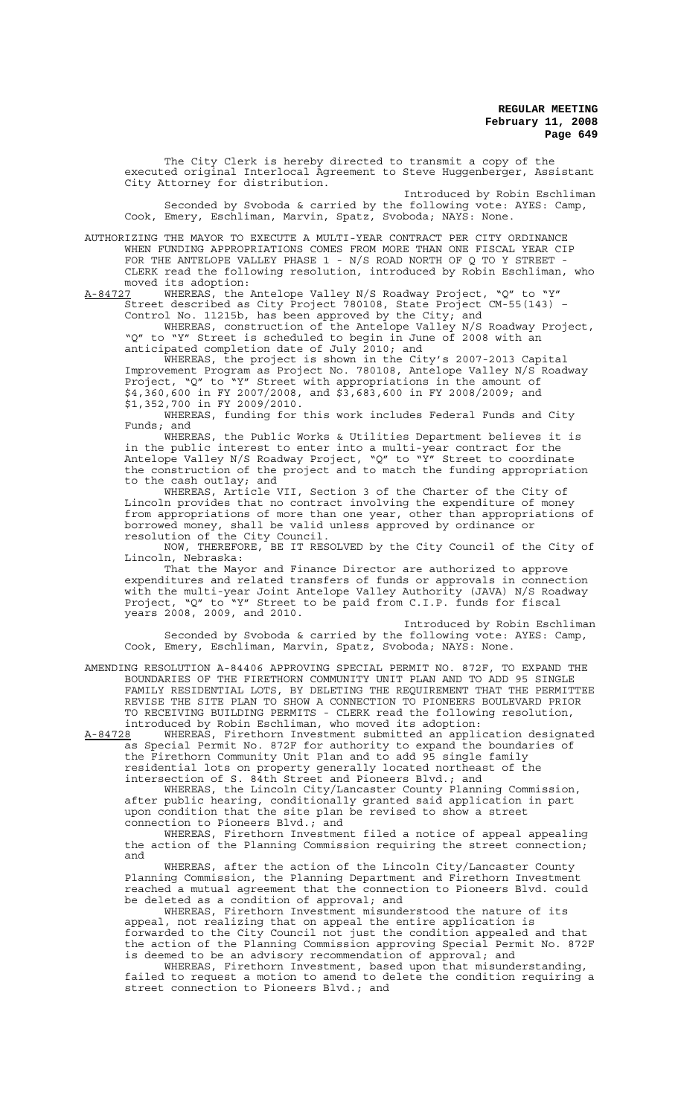The City Clerk is hereby directed to transmit a copy of the executed original Interlocal Agreement to Steve Huggenberger, Assistant City Attorney for distribution.

Introduced by Robin Eschliman Seconded by Svoboda & carried by the following vote: AYES: Camp, Cook, Emery, Eschliman, Marvin, Spatz, Svoboda; NAYS: None.

AUTHORIZING THE MAYOR TO EXECUTE A MULTI-YEAR CONTRACT PER CITY ORDINANCE WHEN FUNDING APPROPRIATIONS COMES FROM MORE THAN ONE FISCAL YEAR CIP FOR THE ANTELOPE VALLEY PHASE  $1$  - N/S ROAD NORTH OF Q TO Y STREET  $\cdot$ CLERK read the following resolution, introduced by Robin Eschliman, who moved its adoption:

A-84727 WHEREAS, the Antelope Valley N/S Roadway Project, "Q" to "Y" Street described as City Project 780108, State Project CM-55(143) – Control No. 11215b, has been approved by the City; and

WHEREAS, construction of the Antelope Valley N/S Roadway Project, "Q" to "Y" Street is scheduled to begin in June of 2008 with an anticipated completion date of July 2010; and

WHEREAS, the project is shown in the City's 2007-2013 Capital Improvement Program as Project No. 780108, Antelope Valley N/S Roadway Project, "Q" to "Y" Street with appropriations in the amount of \$4,360,600 in FY 2007/2008, and \$3,683,600 in FY 2008/2009; and \$1,352,700 in FY 2009/2010.

WHEREAS, funding for this work includes Federal Funds and City Funds; and

WHEREAS, the Public Works & Utilities Department believes it is in the public interest to enter into a multi-year contract for the Antelope Valley N/S Roadway Project, "Q" to "Y" Street to coordinate the construction of the project and to match the funding appropriation to the cash outlay; and

WHEREAS, Article VII, Section 3 of the Charter of the City of Lincoln provides that no contract involving the expenditure of money from appropriations of more than one year, other than appropriations of borrowed money, shall be valid unless approved by ordinance or resolution of the City Council.

NOW, THEREFORE, BE IT RESOLVED by the City Council of the City of Lincoln, Nebraska:

That the Mayor and Finance Director are authorized to approve expenditures and related transfers of funds or approvals in connection with the multi-year Joint Antelope Valley Authority (JAVA) N/S Roadway Project, "Q" to "Y" Street to be paid from C.I.P. funds for fiscal years 2008, 2009, and 2010.

Introduced by Robin Eschliman Seconded by Svoboda & carried by the following vote: AYES: Camp, Cook, Emery, Eschliman, Marvin, Spatz, Svoboda; NAYS: None.

AMENDING RESOLUTION A-84406 APPROVING SPECIAL PERMIT NO. 872F, TO EXPAND THE BOUNDARIES OF THE FIRETHORN COMMUNITY UNIT PLAN AND TO ADD 95 SINGLE FAMILY RESIDENTIAL LOTS, BY DELETING THE REQUIREMENT THAT THE PERMITTEE REVISE THE SITE PLAN TO SHOW A CONNECTION TO PIONEERS BOULEVARD PRIOR TO RECEIVING BUILDING PERMITS - CLERK read the following resolution, introduced by Robin Eschliman, who moved its adoption:

A-84728 WHEREAS, Firethorn Investment submitted an application designated as Special Permit No. 872F for authority to expand the boundaries of the Firethorn Community Unit Plan and to add 95 single family residential lots on property generally located northeast of the intersection of S. 84th Street and Pioneers Blvd.; and

WHEREAS, the Lincoln City/Lancaster County Planning Commission, after public hearing, conditionally granted said application in part upon condition that the site plan be revised to show a street connection to Pioneers Blvd.; and

WHEREAS, Firethorn Investment filed a notice of appeal appealing the action of the Planning Commission requiring the street connection; and

WHEREAS, after the action of the Lincoln City/Lancaster County Planning Commission, the Planning Department and Firethorn Investment reached a mutual agreement that the connection to Pioneers Blvd. could be deleted as a condition of approval; and

WHEREAS, Firethorn Investment misunderstood the nature of its appeal, not realizing that on appeal the entire application is forwarded to the City Council not just the condition appealed and that the action of the Planning Commission approving Special Permit No. 872F is deemed to be an advisory recommendation of approval; and

WHEREAS, Firethorn Investment, based upon that misunderstanding, failed to request a motion to amend to delete the condition requiring a street connection to Pioneers Blvd.; and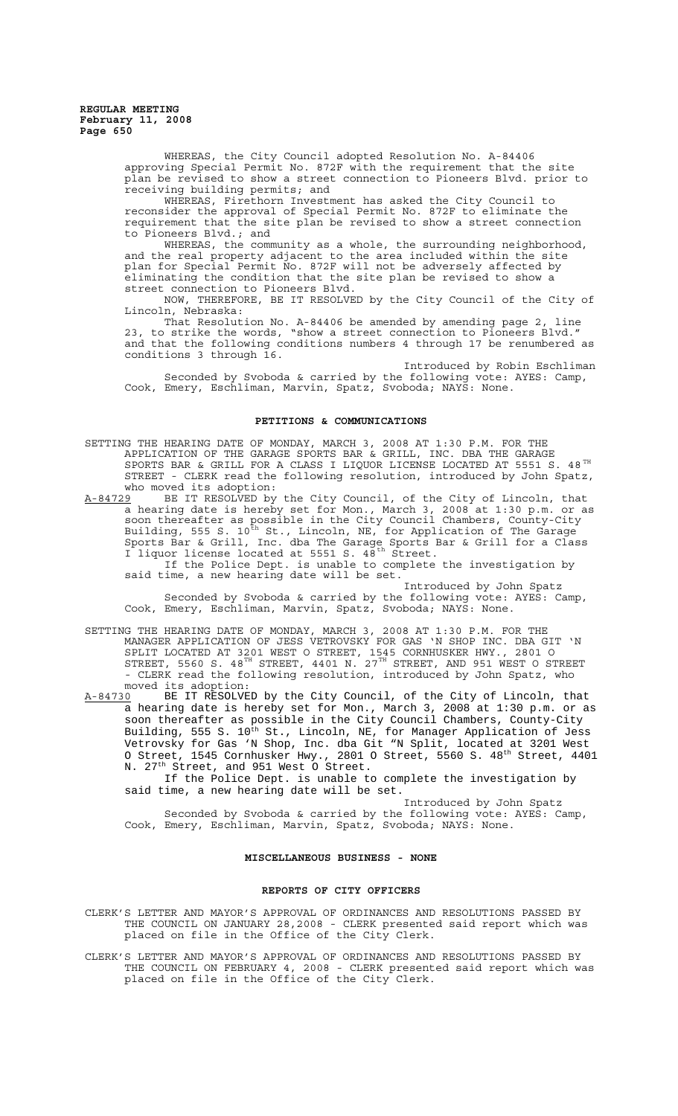> WHEREAS, the City Council adopted Resolution No. A-84406 approving Special Permit No. 872F with the requirement that the site plan be revised to show a street connection to Pioneers Blvd. prior to receiving building permits; and

WHEREAS, Firethorn Investment has asked the City Council to reconsider the approval of Special Permit No. 872F to eliminate the requirement that the site plan be revised to show a street connection to Pioneers Blvd.; and

WHEREAS, the community as a whole, the surrounding neighborhood, and the real property adjacent to the area included within the site plan for Special Permit No. 872F will not be adversely affected by eliminating the condition that the site plan be revised to show a street connection to Pioneers Blvd.

NOW, THEREFORE, BE IT RESOLVED by the City Council of the City of Lincoln, Nebraska:

That Resolution No. A-84406 be amended by amending page 2, line 23, to strike the words, "show a street connection to Pioneers Blvd." and that the following conditions numbers 4 through 17 be renumbered as conditions 3 through 16.

Introduced by Robin Eschliman Seconded by Svoboda & carried by the following vote: AYES: Camp, Cook, Emery, Eschliman, Marvin, Spatz, Svoboda; NAYS: None.

# **PETITIONS & COMMUNICATIONS**

SETTING THE HEARING DATE OF MONDAY, MARCH 3, 2008 AT 1:30 P.M. FOR THE APPLICATION OF THE GARAGE SPORTS BAR & GRILL, INC. DBA THE GARAGE SPORTS BAR & GRILL FOR A CLASS I LIQUOR LICENSE LOCATED AT 5551 S. 48 $^{\text{\tiny{\text{TH}}}}$ STREET - CLERK read the following resolution, introduced by John Spatz, who moved its adoption:<br>A-84729 BE IT RESOLVED by

A-84729 BE IT RESOLVED by the City Council, of the City of Lincoln, that a hearing date is hereby set for Mon., March 3, 2008 at 1:30 p.m. or as soon thereafter as possible in the City Council Chambers, County-City Building, 555 S.  $10^{\texttt{th}}$  St., Lincoln, NE, for Application of The Garage Sports Bar & Grill, Inc. dba The Garage Sports Bar & Grill for a Class I liquor license located at 5551 S. 48<sup>th</sup> Street.

If the Police Dept. is unable to complete the investigation by said time, a new hearing date will be set.

Introduced by John Spatz Seconded by Svoboda & carried by the following vote: AYES: Camp, Cook, Emery, Eschliman, Marvin, Spatz, Svoboda; NAYS: None.

SETTING THE HEARING DATE OF MONDAY, MARCH 3, 2008 AT 1:30 P.M. FOR THE MANAGER APPLICATION OF JESS VETROVSKY FOR GAS 'N SHOP INC. DBA GIT 'N SPLIT LOCATED AT 3201 WEST O STREET, 1545 CORNHUSKER HWY., 2801 O STREET, 5560 S. 48 $^{\text{\tiny{\text{TH}}}}$  STREET, 4401 N. 27 $^{\text{\tiny{\text{TH}}}}$  STREET, AND 951 WEST O STREET - CLERK read the following resolution, introduced by John Spatz, who

moved its adoption:<br>A-84730 BE IT RESOLVE A-84730 BE IT RESOLVED by the City Council, of the City of Lincoln, that a hearing date is hereby set for Mon., March 3, 2008 at 1:30 p.m. or as soon thereafter as possible in the City Council Chambers, County-City Building, 555 S. 10<sup>th</sup> St., Lincoln, NE, for Manager Application of Jess Vetrovsky for Gas 'N Shop, Inc. dba Git "N Split, located at 3201 West O Street, 1545 Cornhusker Hwy., 2801 O Street, 5560 S.  $48^{\rm th}$  Street,  $4401$ N. 27<sup>th</sup> Street, and 951 West O Street.

If the Police Dept. is unable to complete the investigation by said time, a new hearing date will be set.

Introduced by John Spatz Seconded by Svoboda & carried by the following vote: AYES: Camp, Cook, Emery, Eschliman, Marvin, Spatz, Svoboda; NAYS: None.

#### **MISCELLANEOUS BUSINESS - NONE**

## **REPORTS OF CITY OFFICERS**

CLERK'S LETTER AND MAYOR'S APPROVAL OF ORDINANCES AND RESOLUTIONS PASSED BY THE COUNCIL ON JANUARY 28,2008 - CLERK presented said report which was placed on file in the Office of the City Clerk.

CLERK'S LETTER AND MAYOR'S APPROVAL OF ORDINANCES AND RESOLUTIONS PASSED BY THE COUNCIL ON FEBRUARY 4, 2008 - CLERK presented said report which was placed on file in the Office of the City Clerk.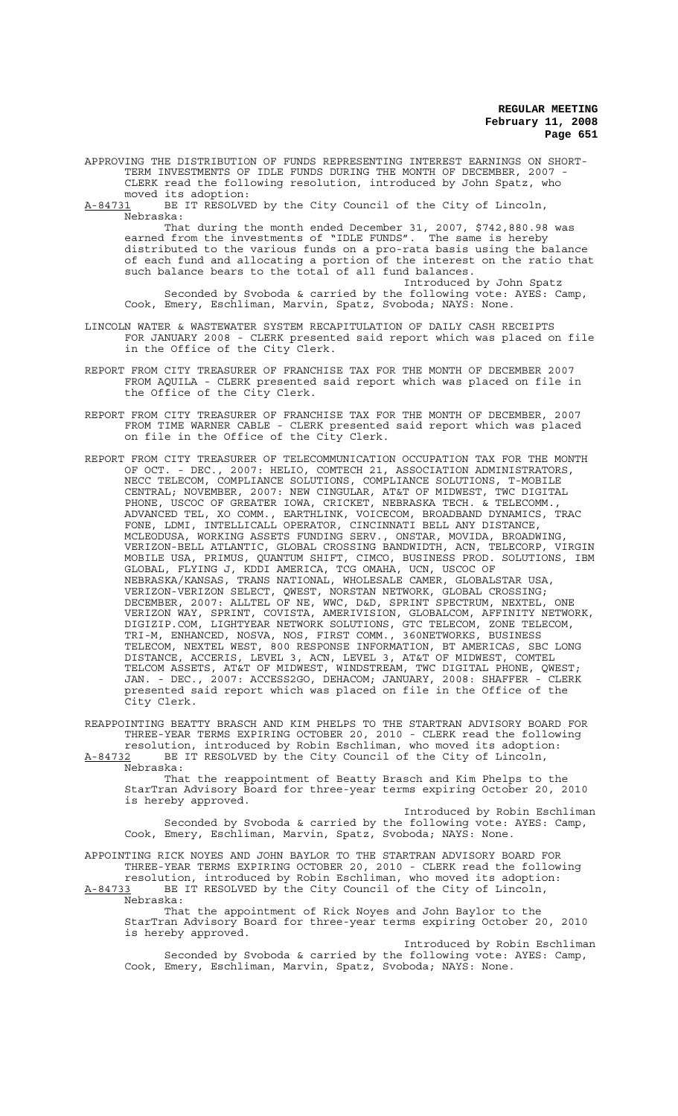APPROVING THE DISTRIBUTION OF FUNDS REPRESENTING INTEREST EARNINGS ON SHORT-TERM INVESTMENTS OF IDLE FUNDS DURING THE MONTH OF DECEMBER, 2007 -CLERK read the following resolution, introduced by John Spatz, who

moved its adoption:<br>A-84731 BE IT RESOLVE BE IT RESOLVED by the City Council of the City of Lincoln,

Nebraska: That during the month ended December 31, 2007, \$742,880.98 was earned from the investments of "IDLE FUNDS". The same is hereby distributed to the various funds on a pro-rata basis using the balance of each fund and allocating a portion of the interest on the ratio that such balance bears to the total of all fund balances.

Introduced by John Spatz Seconded by Svoboda & carried by the following vote: AYES: Camp, Cook, Emery, Eschliman, Marvin, Spatz, Svoboda; NAYS: None.

- LINCOLN WATER & WASTEWATER SYSTEM RECAPITULATION OF DAILY CASH RECEIPTS FOR JANUARY 2008 - CLERK presented said report which was placed on file in the Office of the City Clerk.
- REPORT FROM CITY TREASURER OF FRANCHISE TAX FOR THE MONTH OF DECEMBER 2007 FROM AQUILA - CLERK presented said report which was placed on file in the Office of the City Clerk.
- REPORT FROM CITY TREASURER OF FRANCHISE TAX FOR THE MONTH OF DECEMBER, 2007 FROM TIME WARNER CABLE - CLERK presented said report which was placed on file in the Office of the City Clerk.
- REPORT FROM CITY TREASURER OF TELECOMMUNICATION OCCUPATION TAX FOR THE MONTH OF OCT. - DEC., 2007: HELIO, COMTECH 21, ASSOCIATION ADMINISTRATORS, NECC TELECOM, COMPLIANCE SOLUTIONS, COMPLIANCE SOLUTIONS, T-MOBILE CENTRAL; NOVEMBER, 2007: NEW CINGULAR, AT&T OF MIDWEST, TWC DIGITAL PHONE, USCOC OF GREATER IOWA, CRICKET, NEBRASKA TECH. & TELECOMM., ADVANCED TEL, XO COMM., EARTHLINK, VOICECOM, BROADBAND DYNAMICS, TRAC FONE, LDMI, INTELLICALL OPERATOR, CINCINNATI BELL ANY DISTANCE, MCLEODUSA, WORKING ASSETS FUNDING SERV., ONSTAR, MOVIDA, BROADWING, VERIZON-BELL ATLANTIC, GLOBAL CROSSING BANDWIDTH, ACN, TELECORP, VIRGIN MOBILE USA, PRIMUS, QUANTUM SHIFT, CIMCO, BUSINESS PROD. SOLUTIONS, IBM GLOBAL, FLYING J, KDDI AMERICA, TCG OMAHA, UCN, USCOC OF NEBRASKA/KANSAS, TRANS NATIONAL, WHOLESALE CAMER, GLOBALSTAR USA, VERIZON-VERIZON SELECT, QWEST, NORSTAN NETWORK, GLOBAL CROSSING; DECEMBER, 2007: ALLTEL OF NE, WWC, D&D, SPRINT SPECTRUM, NEXTEL, ONE VERIZON WAY, SPRINT, COVISTA, AMERIVISION, GLOBALCOM, AFFINITY NETWORK, DIGIZIP.COM, LIGHTYEAR NETWORK SOLUTIONS, GTC TELECOM, ZONE TELECOM, TRI-M, ENHANCED, NOSVA, NOS, FIRST COMM., 360NETWORKS, BUSINESS TELECOM, NEXTEL WEST, 800 RESPONSE INFORMATION, BT AMERICAS, SBC LONG DISTANCE, ACCERIS, LEVEL 3, ACN, LEVEL 3, AT&T OF MIDWEST, COMTEL TELCOM ASSETS, AT&T OF MIDWEST, WINDSTREAM, TWC DIGITAL PHONE, QWEST; JAN. - DEC., 2007: ACCESS2GO, DEHACOM; JANUARY, 2008: SHAFFER - CLERK presented said report which was placed on file in the Office of the City Clerk.

REAPPOINTING BEATTY BRASCH AND KIM PHELPS TO THE STARTRAN ADVISORY BOARD FOR THREE-YEAR TERMS EXPIRING OCTOBER 20, 2010 - CLERK read the following resolution, introduced by Robin Eschliman, who moved its adoption: A-84732 BE IT RESOLVED by the City Council of the City of Lincoln,

 $A-84732$  BE<br>Nebraska:

That the reappointment of Beatty Brasch and Kim Phelps to the StarTran Advisory Board for three-year terms expiring October 20, 2010 is hereby approved.

Introduced by Robin Eschliman Seconded by Svoboda & carried by the following vote: AYES: Camp, Cook, Emery, Eschliman, Marvin, Spatz, Svoboda; NAYS: None.

APPOINTING RICK NOYES AND JOHN BAYLOR TO THE STARTRAN ADVISORY BOARD FOR THREE-YEAR TERMS EXPIRING OCTOBER 20, 2010 - CLERK read the following resolution, introduced by Robin Eschliman, who moved its adoption:

A-84733 BE IT RESOLVED by the City Council of the City of Lincoln, Nebraska:

That the appointment of Rick Noyes and John Baylor to the StarTran Advisory Board for three-year terms expiring October 20, 2010 is hereby approved.

Introduced by Robin Eschliman Seconded by Svoboda & carried by the following vote: AYES: Camp, Cook, Emery, Eschliman, Marvin, Spatz, Svoboda; NAYS: None.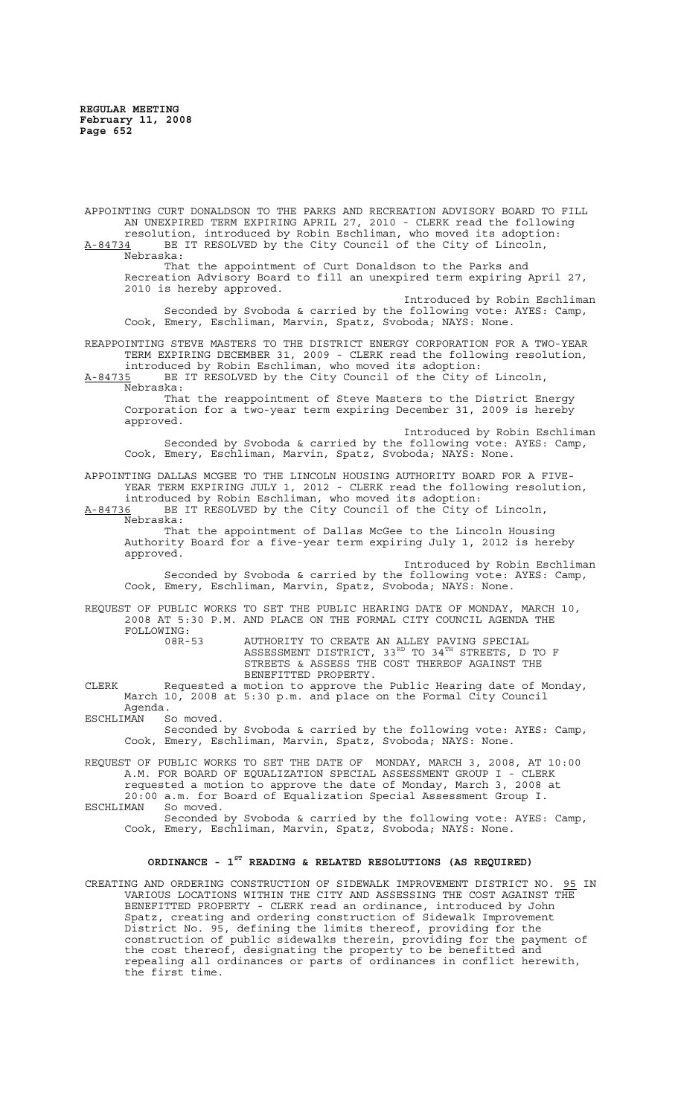APPOINTING CURT DONALDSON TO THE PARKS AND RECREATION ADVISORY BOARD TO FILL AN UNEXPIRED TERM EXPIRING APRIL 27, 2010 - CLERK read the following resolution, introduced by Robin Eschliman, who moved its adoption: A-84734 BE IT RESOLVED by the City Council of the City of Lincoln, Nebraska: That the appointment of Curt Donaldson to the Parks and Recreation Advisory Board to fill an unexpired term expiring April 27, 2010 is hereby approved. Introduced by Robin Eschliman Seconded by Svoboda & carried by the following vote: AYES: Camp, Cook, Emery, Eschliman, Marvin, Spatz, Svoboda; NAYS: None. REAPPOINTING STEVE MASTERS TO THE DISTRICT ENERGY CORPORATION FOR A TWO-YEAR TERM EXPIRING DECEMBER 31, 2009 - CLERK read the following resolution, introduced by Robin Eschliman, who moved its adoption: A-84735 BE IT RESOLVED by the City Council of the City of Lincoln, Nebraska: That the reappointment of Steve Masters to the District Energy Corporation for a two-year term expiring December 31, 2009 is hereby approved. Introduced by Robin Eschliman Seconded by Svoboda & carried by the following vote: AYES: Camp, Cook, Emery, Eschliman, Marvin, Spatz, Svoboda; NAYS: None. APPOINTING DALLAS MCGEE TO THE LINCOLN HOUSING AUTHORITY BOARD FOR A FIVE-YEAR TERM EXPIRING JULY 1, 2012 - CLERK read the following resolution, introduced by Robin Eschliman, who moved its adoption: A-84736 BE IT RESOLVED by the City Council of the City of Lincoln, Nebraska: That the appointment of Dallas McGee to the Lincoln Housing Authority Board for a five-year term expiring July 1, 2012 is hereby approved. Introduced by Robin Eschliman Seconded by Svoboda & carried by the following vote: AYES: Camp, Cook, Emery, Eschliman, Marvin, Spatz, Svoboda; NAYS: None. REQUEST OF PUBLIC WORKS TO SET THE PUBLIC HEARING DATE OF MONDAY, MARCH 10, 2008 AT 5:30 P.M. AND PLACE ON THE FORMAL CITY COUNCIL AGENDA THE FOLLOWING: 08R-53 AUTHORITY TO CREATE AN ALLEY PAVING SPECIAL ASSESSMENT DISTRICT, 33 $^{\text{\tiny{RD}}}$  TO 34 $^{\text{\tiny{TH}}}$  STREETS, D TO F STREETS & ASSESS THE COST THEREOF AGAINST THE BENEFITTED PROPERTY. CLERK Requested a motion to approve the Public Hearing date of Monday, March 10, 2008 at 5:30 p.m. and place on the Formal City Council Agenda.<br>MAN Somoved. ESCHLIMAN Seconded by Svoboda & carried by the following vote: AYES: Camp, Cook, Emery, Eschliman, Marvin, Spatz, Svoboda; NAYS: None. REQUEST OF PUBLIC WORKS TO SET THE DATE OF MONDAY, MARCH 3, 2008, AT 10:00 A.M. FOR BOARD OF EQUALIZATION SPECIAL ASSESSMENT GROUP I - CLERK requested a motion to approve the date of Monday, March 3, 2008 at 20:00 a.m. for Board of Equalization Special Assessment Group I. ESCHLIMAN Seconded by Svoboda & carried by the following vote: AYES: Camp, Cook, Emery, Eschliman, Marvin, Spatz, Svoboda; NAYS: None. **ORDINANCE - 1ST READING & RELATED RESOLUTIONS (AS REQUIRED)** CREATING AND ORDERING CONSTRUCTION OF SIDEWALK IMPROVEMENT DISTRICT NO. 95 IN VARIOUS LOCATIONS WITHIN THE CITY AND ASSESSING THE COST AGAINST THE BENEFITTED PROPERTY - CLERK read an ordinance, introduced by John Spatz, creating and ordering construction of Sidewalk Improvement District No. 95, defining the limits thereof, providing for the construction of public sidewalks therein, providing for the payment of

the cost thereof, designating the property to be benefitted and repealing all ordinances or parts of ordinances in conflict herewith,

the first time.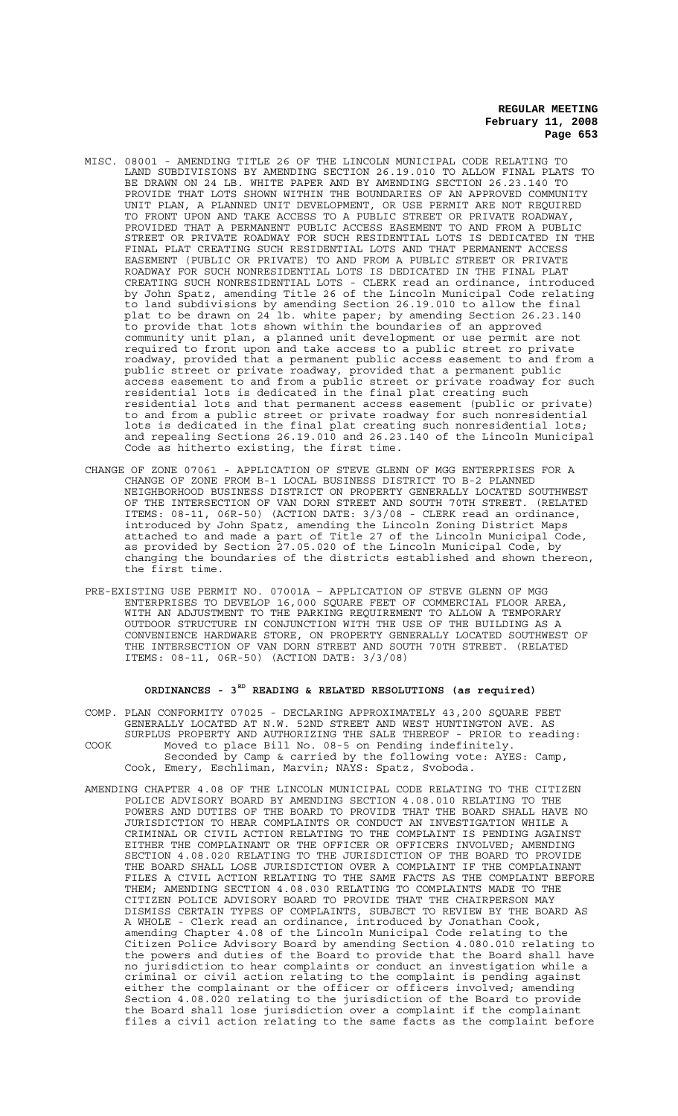- MISC. 08001 AMENDING TITLE 26 OF THE LINCOLN MUNICIPAL CODE RELATING TO LAND SUBDIVISIONS BY AMENDING SECTION 26.19.010 TO ALLOW FINAL PLATS TO BE DRAWN ON 24 LB. WHITE PAPER AND BY AMENDING SECTION 26.23.140 TO PROVIDE THAT LOTS SHOWN WITHIN THE BOUNDARIES OF AN APPROVED COMMUNITY UNIT PLAN, A PLANNED UNIT DEVELOPMENT, OR USE PERMIT ARE NOT REQUIRED TO FRONT UPON AND TAKE ACCESS TO A PUBLIC STREET OR PRIVATE ROADWAY, PROVIDED THAT A PERMANENT PUBLIC ACCESS EASEMENT TO AND FROM A PUBLIC STREET OR PRIVATE ROADWAY FOR SUCH RESIDENTIAL LOTS IS DEDICATED IN THE FINAL PLAT CREATING SUCH RESIDENTIAL LOTS AND THAT PERMANENT ACCESS EASEMENT (PUBLIC OR PRIVATE) TO AND FROM A PUBLIC STREET OR PRIVATE ROADWAY FOR SUCH NONRESIDENTIAL LOTS IS DEDICATED IN THE FINAL PLAT CREATING SUCH NONRESIDENTIAL LOTS - CLERK read an ordinance, introduced by John Spatz, amending Title 26 of the Lincoln Municipal Code relating to land subdivisions by amending Section 26.19.010 to allow the final plat to be drawn on 24 lb. white paper; by amending Section 26.23.140 to provide that lots shown within the boundaries of an approved community unit plan, a planned unit development or use permit are not required to front upon and take access to a public street ro private roadway, provided that a permanent public access easement to and from a public street or private roadway, provided that a permanent public access easement to and from a public street or private roadway for such residential lots is dedicated in the final plat creating such residential lots and that permanent access easement (public or private) to and from a public street or private roadway for such nonresidential lots is dedicated in the final plat creating such nonresidential lots; and repealing Sections 26.19.010 and 26.23.140 of the Lincoln Municipal Code as hitherto existing, the first time.
- CHANGE OF ZONE 07061 APPLICATION OF STEVE GLENN OF MGG ENTERPRISES FOR A CHANGE OF ZONE FROM B-1 LOCAL BUSINESS DISTRICT TO B-2 PLANNED NEIGHBORHOOD BUSINESS DISTRICT ON PROPERTY GENERALLY LOCATED SOUTHWEST<br>OF THE INTERSECTION OF VAN DORN STREET AND SOUTH 70TH STREET. (RELATED OF THE INTERSECTION OF VAN DORN STREET AND SOUTH 70TH STREET. (RELATED ITEMS: 08-11, 06R-50) (ACTION DATE: 3/3/08 - CLERK read an ordinance, introduced by John Spatz, amending the Lincoln Zoning District Maps attached to and made a part of Title 27 of the Lincoln Municipal Code, as provided by Section 27.05.020 of the Lincoln Municipal Code, by changing the boundaries of the districts established and shown thereon, the first time.
- PRE-EXISTING USE PERMIT NO. 07001A APPLICATION OF STEVE GLENN OF MGG ENTERPRISES TO DEVELOP 16,000 SQUARE FEET OF COMMERCIAL FLOOR AREA, WITH AN ADJUSTMENT TO THE PARKING REQUIREMENT TO ALLOW A TEMPORARY OUTDOOR STRUCTURE IN CONJUNCTION WITH THE USE OF THE BUILDING AS A CONVENIENCE HARDWARE STORE, ON PROPERTY GENERALLY LOCATED SOUTHWEST OF THE INTERSECTION OF VAN DORN STREET AND SOUTH 70TH STREET. (RELATED ITEMS: 08-11, 06R-50) (ACTION DATE: 3/3/08)

# ORDINANCES - 3<sup>RD</sup> READING & RELATED RESOLUTIONS (as required)

- COMP. PLAN CONFORMITY 07025 DECLARING APPROXIMATELY 43,200 SQUARE FEET GENERALLY LOCATED AT N.W. 52ND STREET AND WEST HUNTINGTON AVE. AS SURPLUS PROPERTY AND AUTHORIZING THE SALE THEREOF - PRIOR to reading: COOK Moved to place Bill No. 08-5 on Pending indefinitely. Seconded by Camp & carried by the following vote: AYES: Camp, Cook, Emery, Eschliman, Marvin; NAYS: Spatz, Svoboda.
- AMENDING CHAPTER 4.08 OF THE LINCOLN MUNICIPAL CODE RELATING TO THE CITIZEN POLICE ADVISORY BOARD BY AMENDING SECTION 4.08.010 RELATING TO THE POWERS AND DUTIES OF THE BOARD TO PROVIDE THAT THE BOARD SHALL HAVE NO JURISDICTION TO HEAR COMPLAINTS OR CONDUCT AN INVESTIGATION WHILE A CRIMINAL OR CIVIL ACTION RELATING TO THE COMPLAINT IS PENDING AGAINST EITHER THE COMPLAINANT OR THE OFFICER OR OFFICERS INVOLVED; AMENDING SECTION 4.08.020 RELATING TO THE JURISDICTION OF THE BOARD TO PROVIDE THE BOARD SHALL LOSE JURISDICTION OVER A COMPLAINT IF THE COMPLAINANT FILES A CIVIL ACTION RELATING TO THE SAME FACTS AS THE COMPLAINT BEFORE THEM; AMENDING SECTION 4.08.030 RELATING TO COMPLAINTS MADE TO THE CITIZEN POLICE ADVISORY BOARD TO PROVIDE THAT THE CHAIRPERSON MAY DISMISS CERTAIN TYPES OF COMPLAINTS, SUBJECT TO REVIEW BY THE BOARD AS A WHOLE - Clerk read an ordinance, introduced by Jonathan Cook, amending Chapter 4.08 of the Lincoln Municipal Code relating to the Citizen Police Advisory Board by amending Section 4.080.010 relating to the powers and duties of the Board to provide that the Board shall have no jurisdiction to hear complaints or conduct an investigation while a criminal or civil action relating to the complaint is pending against either the complainant or the officer or officers involved; amending Section 4.08.020 relating to the jurisdiction of the Board to provide the Board shall lose jurisdiction over a complaint if the complainant files a civil action relating to the same facts as the complaint before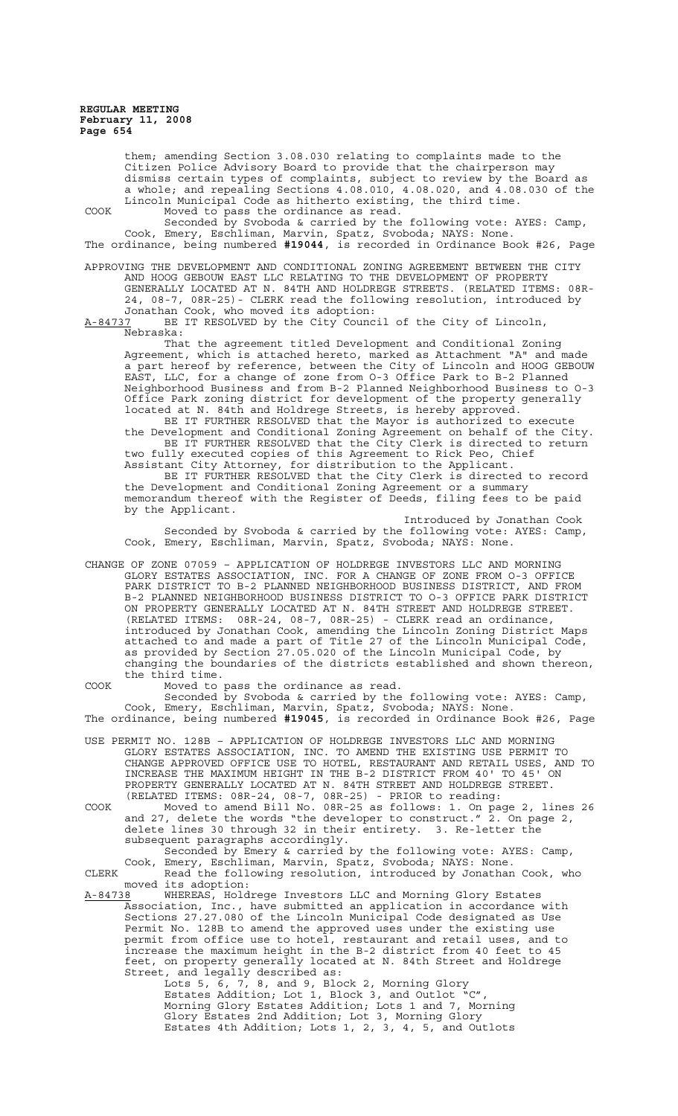> them; amending Section 3.08.030 relating to complaints made to the Citizen Police Advisory Board to provide that the chairperson may dismiss certain types of complaints, subject to review by the Board as a whole; and repealing Sections 4.08.010, 4.08.020, and 4.08.030 of the Lincoln Municipal Code as hitherto existing, the third time.

COOK Moved to pass the ordinance as read. Seconded by Svoboda & carried by the following vote: AYES: Camp, Cook, Emery, Eschliman, Marvin, Spatz, Svoboda; NAYS: None. The ordinance, being numbered **#19044**, is recorded in Ordinance Book #26, Page

APPROVING THE DEVELOPMENT AND CONDITIONAL ZONING AGREEMENT BETWEEN THE CITY AND HOOG GEBOUW EAST LLC RELATING TO THE DEVELOPMENT OF PROPERTY GENERALLY LOCATED AT N. 84TH AND HOLDREGE STREETS. (RELATED ITEMS: 08R-24, 08-7, 08R-25)- CLERK read the following resolution, introduced by Jonathan Cook, who moved its adoption:

A-84737 BE IT RESOLVED by the City Council of the City of Lincoln, Nebraska:

That the agreement titled Development and Conditional Zoning Agreement, which is attached hereto, marked as Attachment "A" and made a part hereof by reference, between the City of Lincoln and HOOG GEBOUW EAST, LLC, for a change of zone from O-3 Office Park to B-2 Planned Neighborhood Business and from B-2 Planned Neighborhood Business to O-3 Office Park zoning district for development of the property generally located at N. 84th and Holdrege Streets, is hereby approved.

BE IT FURTHER RESOLVED that the Mayor is authorized to execute the Development and Conditional Zoning Agreement on behalf of the City. BE IT FURTHER RESOLVED that the City Clerk is directed to return two fully executed copies of this Agreement to Rick Peo, Chief

Assistant City Attorney, for distribution to the Applicant. BE IT FURTHER RESOLVED that the City Clerk is directed to record the Development and Conditional Zoning Agreement or a summary memorandum thereof with the Register of Deeds, filing fees to be paid by the Applicant.

Introduced by Jonathan Cook Seconded by Svoboda & carried by the following vote: AYES: Camp, Cook, Emery, Eschliman, Marvin, Spatz, Svoboda; NAYS: None.

CHANGE OF ZONE 07059 – APPLICATION OF HOLDREGE INVESTORS LLC AND MORNING GLORY ESTATES ASSOCIATION, INC. FOR A CHANGE OF ZONE FROM O-3 OFFICE PARK DISTRICT TO B-2 PLANNED NEIGHBORHOOD BUSINESS DISTRICT, AND FROM B-2 PLANNED NEIGHBORHOOD BUSINESS DISTRICT TO O-3 OFFICE PARK DISTRICT ON PROPERTY GENERALLY LOCATED AT N. 84TH STREET AND HOLDREGE STREET. (RELATED ITEMS: 08R-24, 08-7, 08R-25) - CLERK read an ordinance, introduced by Jonathan Cook, amending the Lincoln Zoning District Maps attached to and made a part of Title 27 of the Lincoln Municipal Code, as provided by Section 27.05.020 of the Lincoln Municipal Code, by changing the boundaries of the districts established and shown thereon, the third time.

COOK Moved to pass the ordinance as read.

Seconded by Svoboda & carried by the following vote: AYES: Camp, Cook, Emery, Eschliman, Marvin, Spatz, Svoboda; NAYS: None. The ordinance, being numbered **#19045**, is recorded in Ordinance Book #26, Page

- USE PERMIT NO. 128B APPLICATION OF HOLDREGE INVESTORS LLC AND MORNING GLORY ESTATES ASSOCIATION, INC. TO AMEND THE EXISTING USE PERMIT TO CHANGE APPROVED OFFICE USE TO HOTEL, RESTAURANT AND RETAIL USES, AND TO INCREASE THE MAXIMUM HEIGHT IN THE B-2 DISTRICT FROM 40' TO 45' ON PROPERTY GENERALLY LOCATED AT N. 84TH STREET AND HOLDREGE STREET. (RELATED ITEMS: 08R-24, 08-7, 08R-25) - PRIOR to reading:
- COOK Moved to amend Bill No. 08R-25 as follows: 1. On page 2, lines 26 and 27, delete the words "the developer to construct." 2. On page 2, delete lines 30 through 32 in their entirety. 3. Re-letter the subsequent paragraphs accordingly.

Seconded by Emery & carried by the following vote: AYES: Camp, Cook, Emery, Eschliman, Marvin, Spatz, Svoboda; NAYS: None. CLERK Read the following resolution, introduced by Jonathan Cook, who

moved its adoption:<br>A-84738 WHEREAS, Hold WHEREAS, Holdrege Investors LLC and Morning Glory Estates Association, Inc., have submitted an application in accordance with Sections 27.27.080 of the Lincoln Municipal Code designated as Use Permit No. 128B to amend the approved uses under the existing use permit from office use to hotel, restaurant and retail uses, and to increase the maximum height in the B-2 district from 40 feet to 45 feet, on property generally located at N. 84th Street and Holdrege Street, and legally described as:

Lots 5, 6, 7, 8, and 9, Block 2, Morning Glory Estates Addition; Lot 1, Block 3, and Outlot "C", Morning Glory Estates Addition; Lots 1 and 7, Morning Glory Estates 2nd Addition; Lot 3, Morning Glory Estates 4th Addition; Lots 1, 2, 3, 4, 5, and Outlots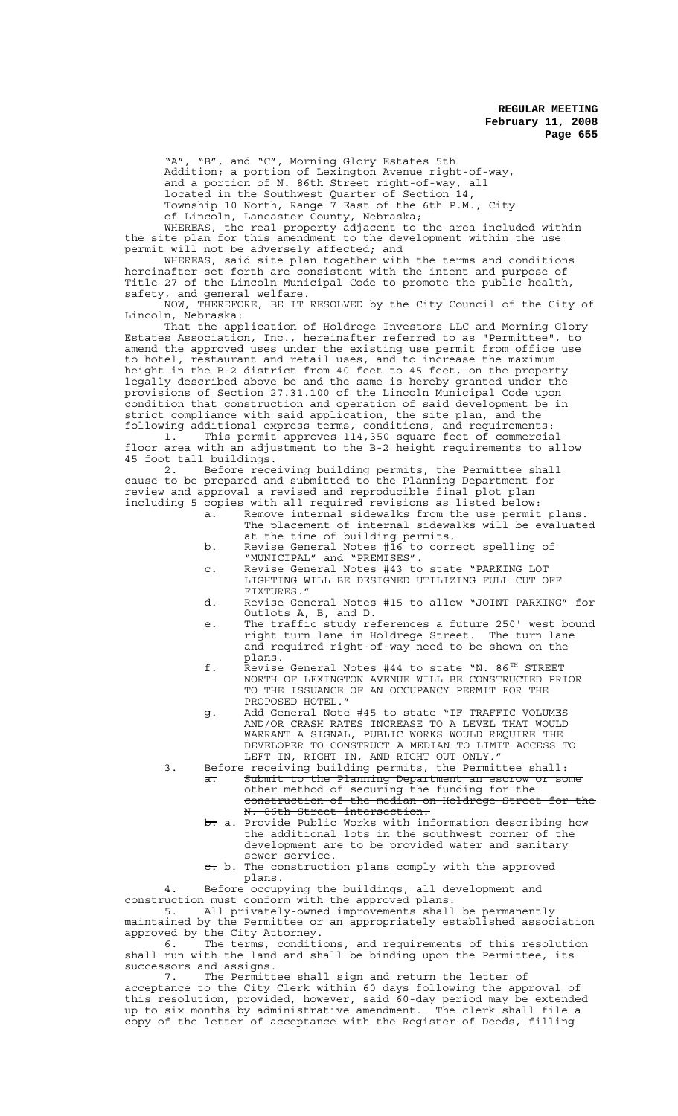"A", "B", and "C", Morning Glory Estates 5th Addition; a portion of Lexington Avenue right-of-way, and a portion of N. 86th Street right-of-way, all located in the Southwest Quarter of Section 14, Township 10 North, Range 7 East of the 6th P.M., City

of Lincoln, Lancaster County, Nebraska;

WHEREAS, the real property adjacent to the area included within the site plan for this amendment to the development within the use permit will not be adversely affected; and

WHEREAS, said site plan together with the terms and conditions hereinafter set forth are consistent with the intent and purpose of Title 27 of the Lincoln Municipal Code to promote the public health, safety, and general welfare.

NOW, THEREFORE, BE IT RESOLVED by the City Council of the City of Lincoln, Nebraska:

That the application of Holdrege Investors LLC and Morning Glory Estates Association, Inc., hereinafter referred to as "Permittee", to amend the approved uses under the existing use permit from office use to hotel, restaurant and retail uses, and to increase the maximum height in the B-2 district from 40 feet to 45 feet, on the property legally described above be and the same is hereby granted under the provisions of Section 27.31.100 of the Lincoln Municipal Code upon condition that construction and operation of said development be in strict compliance with said application, the site plan, and the following additional express terms, conditions, and requirements:

1. This permit approves 114,350 square feet of commercial floor area with an adjustment to the B-2 height requirements to allow 45 foot tall buildings.

2. Before receiving building permits, the Permittee shall cause to be prepared and submitted to the Planning Department for review and approval a revised and reproducible final plot plan including 5 copies with all required revisions as listed below:

- a. Remove internal sidewalks from the use permit plans. The placement of internal sidewalks will be evaluated at the time of building permits.
- b. Revise General Notes #16 to correct spelling of "MUNICIPAL" and "PREMISES".
- c. Revise General Notes #43 to state "PARKING LOT LIGHTING WILL BE DESIGNED UTILIZING FULL CUT OFF FIXTURES."
- d. Revise General Notes #15 to allow "JOINT PARKING" for Outlots A, B, and D.
- e. The traffic study references a future 250' west bound right turn lane in Holdrege Street. The turn lane and required right-of-way need to be shown on the plans.
- f. Revise General Notes #44 to state "N. 86<sup>TH</sup> STREET NORTH OF LEXINGTON AVENUE WILL BE CONSTRUCTED PRIOR TO THE ISSUANCE OF AN OCCUPANCY PERMIT FOR THE PROPOSED HOTEL."
- g. Add General Note #45 to state "IF TRAFFIC VOLUMES AND/OR CRASH RATES INCREASE TO A LEVEL THAT WOULD WARRANT A SIGNAL, PUBLIC WORKS WOULD REQUIRE <del>THE</del> DEVELOPER TO CONSTRUCT A MEDIAN TO LIMIT ACCESS TO LEFT IN, RIGHT IN, AND RIGHT OUT ONLY."
- 3. Before receiving building permits, the Permittee shall: a. Submit to the Planning Department an escrow or some other method of securing the funding for the construction of the median on Holdrege Street for the
	- N. 86th Street intersection.<br>b. a. Provide Public Works with information describing how the additional lots in the southwest corner of the development are to be provided water and sanitary sewer service.
	- $\overline{c}$ . b. The construction plans comply with the approved plans.

Before occupying the buildings, all development and construction must conform with the approved plans.<br>5. All privately-owned improvements shall All privately-owned improvements shall be permanently

maintained by the Permittee or an appropriately established association approved by the City Attorney.

6. The terms, conditions, and requirements of this resolution shall run with the land and shall be binding upon the Permittee, its successors and assigns.

7. The Permittee shall sign and return the letter of acceptance to the City Clerk within 60 days following the approval of this resolution, provided, however, said 60-day period may be extended up to six months by administrative amendment. The clerk shall file a copy of the letter of acceptance with the Register of Deeds, filling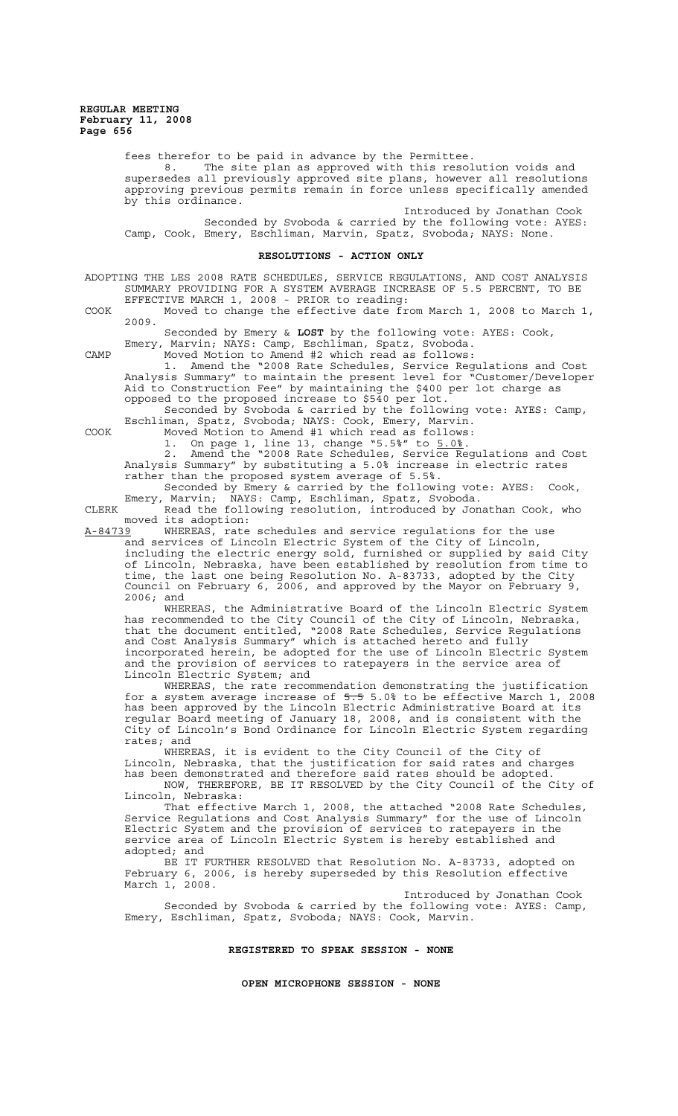fees therefor to be paid in advance by the Permittee.

8. The site plan as approved with this resolution voids and supersedes all previously approved site plans, however all resolutions approving previous permits remain in force unless specifically amended by this ordinance.

Introduced by Jonathan Cook Seconded by Svoboda & carried by the following vote: AYES: Camp, Cook, Emery, Eschliman, Marvin, Spatz, Svoboda; NAYS: None.

#### **RESOLUTIONS - ACTION ONLY**

ADOPTING THE LES 2008 RATE SCHEDULES, SERVICE REGULATIONS, AND COST ANALYSIS SUMMARY PROVIDING FOR A SYSTEM AVERAGE INCREASE OF 5.5 PERCENT, TO BE EFFECTIVE MARCH 1, 2008 - PRIOR to reading:

COOK Moved to change the effective date from March 1, 2008 to March 1, 2009.

Seconded by Emery & **LOST** by the following vote: AYES: Cook, Emery, Marvin; NAYS: Camp, Eschliman, Spatz, Svoboda. CAMP Moved Motion to Amend #2 which read as follows:

1. Amend the "2008 Rate Schedules, Service Regulations and Cost Analysis Summary" to maintain the present level for "Customer/Developer Aid to Construction Fee" by maintaining the \$400 per lot charge as opposed to the proposed increase to \$540 per lot.

Seconded by Svoboda & carried by the following vote: AYES: Camp, Eschliman, Spatz, Svoboda; NAYS: Cook, Emery, Marvin.

COOK Moved Motion to Amend #1 which read as follows: 1. On page 1, line 13, change "5.5%" to 5.0%.

2. Amend the "2008 Rate Schedules, Service Regulations and Cost Analysis Summary" by substituting a 5.0% increase in electric rates rather than the proposed system average of 5.5%.

Seconded by Emery & carried by the following vote: AYES: Cook, Emery, Marvin; NAYS: Camp, Eschliman, Spatz, Svoboda. CLERK Read the following resolution, introduced by Jonathan Cook, who

moved its adoption: A-84739 WHEREAS, rate schedules and service regulations for the use

and services of Lincoln Electric System of the City of Lincoln, including the electric energy sold, furnished or supplied by said City of Lincoln, Nebraska, have been established by resolution from time to time, the last one being Resolution No. A-83733, adopted by the City Council on February 6, 2006, and approved by the Mayor on February 9, 2006; and

WHEREAS, the Administrative Board of the Lincoln Electric System has recommended to the City Council of the City of Lincoln, Nebraska, that the document entitled, "2008 Rate Schedules, Service Regulations and Cost Analysis Summary" which is attached hereto and fully incorporated herein, be adopted for the use of Lincoln Electric System and the provision of services to ratepayers in the service area of Lincoln Electric System; and

WHEREAS, the rate recommendation demonstrating the justification for a system average increase of 5.5 5.0% to be effective March 1, 2008 has been approved by the Lincoln Electric Administrative Board at its regular Board meeting of January 18, 2008, and is consistent with the City of Lincoln's Bond Ordinance for Lincoln Electric System regarding rates; and

WHEREAS, it is evident to the City Council of the City of Lincoln, Nebraska, that the justification for said rates and charges has been demonstrated and therefore said rates should be adopted.

NOW, THEREFORE, BE IT RESOLVED by the City Council of the City of Lincoln, Nebraska:

That effective March 1, 2008, the attached "2008 Rate Schedules, Service Regulations and Cost Analysis Summary" for the use of Lincoln Electric System and the provision of services to ratepayers in the service area of Lincoln Electric System is hereby established and adopted; and

BE IT FURTHER RESOLVED that Resolution No. A-83733, adopted on February 6, 2006, is hereby superseded by this Resolution effective March 1, 2008.

Introduced by Jonathan Cook Seconded by Svoboda & carried by the following vote: AYES: Camp, Emery, Eschliman, Spatz, Svoboda; NAYS: Cook, Marvin.

**REGISTERED TO SPEAK SESSION - NONE**

**OPEN MICROPHONE SESSION - NONE**